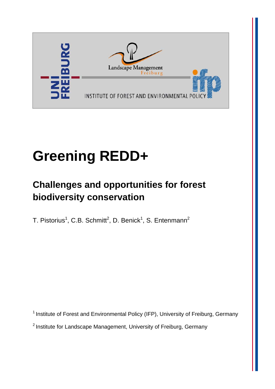

# **Greening REDD+**

# **Challenges and opportunities for forest biodiversity conservation**

T. Pistorius<sup>1</sup>, C.B. Schmitt<sup>2</sup>, D. Benick<sup>1</sup>, S. Entenmann<sup>2</sup>

<sup>1</sup> Institute of Forest and Environmental Policy (IFP), University of Freiburg, Germany

<sup>2</sup> Institute for Landscape Management, University of Freiburg, Germany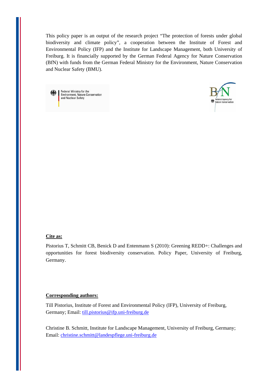This policy paper is an output of the research project "The protection of forests under global biodiversity and climate policy", a cooperation between the Institute of Forest and Environmental Policy (IFP) and the Institute for Landscape Management, both University of Freiburg. It is financially supported by the German Federal Agency for Nature Conservation (BfN) with funds from the German Federal Ministry for the Environment, Nature Conservation and Nuclear Safety (BMU).

Federal Ministry for the Environment, Nature Conservation and Nuclear Safety



#### **Cite as:**

Pistorius T, Schmitt CB, Benick D and Entenmann S (2010): Greening REDD+: Challenges and opportunities for forest biodiversity conservation. Policy Paper, University of Freiburg, Germany.

#### **Corresponding authors:**

Till Pistorius, Institute of Forest and Environmental Policy (IFP), University of Freiburg, Germany; Email: [till.pistorius@ifp.uni-freiburg.de](mailto:till.pistorius@ifp.uni-freiburg.de)

Christine B. Schmitt, Institute for Landscape Management, University of Freiburg, Germany; Email: [christine.schmitt@landespflege.uni-freiburg.de](mailto:christine.schmitt@landespflege.uni-freiburg.de)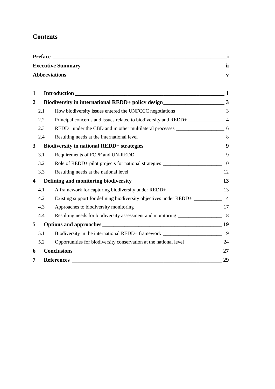# **Contents**

| <b>Preface</b>           |  |
|--------------------------|--|
| <b>Executive Summary</b> |  |
| <b>Abbreviations</b>     |  |

| 1                       |     | Introduction                                                                         |    |
|-------------------------|-----|--------------------------------------------------------------------------------------|----|
| 2                       |     |                                                                                      |    |
|                         | 2.1 |                                                                                      |    |
|                         | 2.2 | Principal concerns and issues related to biodiversity and REDD+ _________________ 4  |    |
|                         | 2.3 | REDD+ under the CBD and in other multilateral processes _________________________ 6  |    |
|                         | 2.4 |                                                                                      |    |
| 3                       |     |                                                                                      |    |
|                         | 3.1 |                                                                                      |    |
|                         | 3.2 | Role of REDD+ pilot projects for national strategies ____________________________ 10 |    |
|                         | 3.3 |                                                                                      |    |
| $\overline{\mathbf{4}}$ |     |                                                                                      |    |
|                         | 4.1 |                                                                                      |    |
|                         | 4.2 | Existing support for defining biodiversity objectives under REDD+ ______________ 14  |    |
|                         | 4.3 |                                                                                      |    |
|                         | 4.4 | Resulting needs for biodiversity assessment and monitoring ______________________ 18 |    |
| 5                       |     |                                                                                      |    |
|                         | 5.1 |                                                                                      |    |
|                         | 5.2 | Opportunities for biodiversity conservation at the national level _______________ 24 |    |
| 6                       |     |                                                                                      | 27 |
| 7                       |     |                                                                                      | 29 |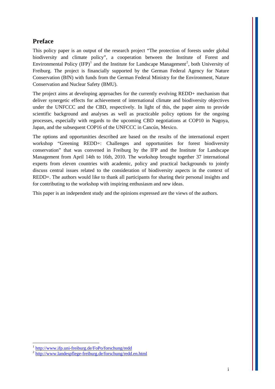# <span id="page-4-0"></span>**Preface**

This policy paper is an output of the research project "The protection of forests under global biodiversity and climate policy", a cooperation between the Institute of Forest and Environmental Policy  $(IFP)^1$  $(IFP)^1$  and the Institute for Landscape Management<sup>[2](#page-4-2)</sup>, both University of Freiburg. The project is financially supported by the German Federal Agency for Nature Conservation (BfN) with funds from the German Federal Ministry for the Environment, Nature Conservation and Nuclear Safety (BMU).

The project aims at developing approaches for the currently evolving REDD+ mechanism that deliver synergetic effects for achievement of international climate and biodiversity objectives under the UNFCCC and the CBD, respectively. In light of this, the paper aims to provide scientific background and analyses as well as practicable policy options for the ongoing processes, especially with regards to the upcoming CBD negotiations at COP10 in Nagoya, Japan, and the subsequent COP16 of the UNFCCC in Cancún, Mexico.

The options and opportunities described are based on the results of the international expert workshop "Greening REDD+: Challenges and opportunities for forest biodiversity conservation" that was convened in Freiburg by the IFP and the Institute for Landscape Management from April 14th to 16th, 2010. The workshop brought together 37 international experts from eleven countries with academic, policy and practical backgrounds to jointly discuss central issues related to the consideration of biodiversity aspects in the context of REDD+. The authors would like to thank all participants for sharing their personal insights and for contributing to the workshop with inspiring enthusiasm and new ideas.

This paper is an independent study and the opinions expressed are the views of the authors.

<u>.</u>

<span id="page-4-1"></span> $\frac{1}{2}$  http://www.ifp.uni-freiburg.de/FoPo/forschung/redd<br> $\frac{2}{2}$  <http://www.landespflege-freiburg.de/forschung/redd.en.html>

<span id="page-4-2"></span>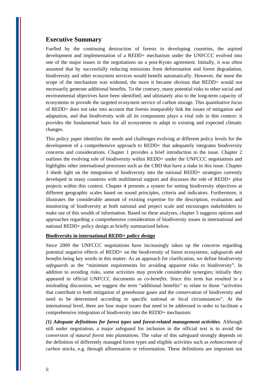# <span id="page-5-0"></span>**Executive Summary**

Fuelled by the continuing destruction of forests in developing countries, the aspired development and implementation of a REDD+ mechanism under the UNFCCC evolved into one of the major issues in the negotiations on a post-Kyoto agreement. Initially, it was often assumed that by successfully reducing emissions from deforestation and forest degradation, biodiversity and other ecosystem services would benefit automatically. However, the more the scope of the mechanism was widened, the more it became obvious that REDD+ would not necessarily generate additional benefits. To the contrary, many potential risks to other social and environmental objectives have been identified, and ultimately also to the long-term capacity of ecosystems to provide the targeted ecosystem service of carbon storage. This quantitative focus of REDD+ does not take into account that forests inseparably link the issues of mitigation and adaptation, and that biodiversity with all its components plays a vital role in this context: it provides the fundamental basis for all ecosystems to adapt to existing and expected climatic changes.

This policy paper identifies the needs and challenges evolving at different policy levels for the development of a comprehensive approach to REDD+ that adequately integrates biodiversity concerns and considerations. Chapter 1 provides a brief introduction to the issue. Chapter 2 outlines the evolving role of biodiversity within REDD+ under the UNFCCC negotiations and highlights other international processes such as the CBD that have a stake in this issue. Chapter 3 sheds light on the integration of biodiversity into the national REDD+ strategies currently developed in many countries with multilateral support and discusses the role of REDD+ pilot projects within this context. Chapter 4 presents a system for setting biodiversity objectives at different geographic scales based on sound principles, criteria and indicators. Furthermore, it illustrates the considerable amount of existing expertise for the description, evaluation and monitoring of biodiversity at both national and project scale and encourages stakeholders to make use of this wealth of information. Based on these analyses, chapter 5 suggests options and approaches regarding a comprehensive consideration of biodiversity issues in international and national REDD+ policy design as briefly summarized below.

#### **Biodiversity in international REDD+ policy design**

Since 2009 the UNFCCC negotiations have increasingly taken up the concerns regarding potential negative effects of REDD+ on the biodiversity of forest ecosystems, *safeguards* and *benefits* being key words in this matter. As an approach for clarification, we define *biodiversity safeguards* as the "minimum requirements for avoiding apparent risks to biodiversity". In addition to avoiding risks, some activities may provide considerable synergies; initially they appeared in official UNFCCC documents as *co-benefits*. Since this term has resulted in a misleading discussion, we suggest the term "additional benefits" to relate to those "activities that contribute to both mitigation of greenhouse gases and the conservation of biodiversity and need to be determined according to specific national or local circumstances". At the international level, there are four major issues that need to be addressed in order to facilitate a comprehensive integration of biodiversity into the REDD+ mechanism:

*(1) Adequate definitions for forest types and forest-related management activities*. Although still under negotiation, a major safeguard for inclusion in the official text is to avoid the *conversion of natural forest into plantations*. The value of this safeguard strongly depends on the definition of differently managed forest types and eligible activities such as *enhancement of carbon stocks,* e.g. through afforestation or reforestation. These definitions are important not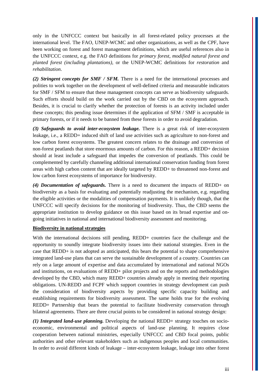only in the UNFCCC context but basically in all forest-related policy processes at the international level. The FAO, UNEP-WCMC and other organizations, as well as the CPF, have been working on forest and forest management definitions, which are useful references also in the UNFCCC context, e.g. the FAO definitions for *primary forest, modified natural forest and planted forest (including plantations)*, or the UNEP-WCMC definitions for *restoration* and *rehabilitation*.

*(2) Stringent concepts for SMF / SFM.* There is a need for the international processes and polities to work together on the development of well-defined criteria and measurable indicators for SMF / SFM to ensure that these management concepts can serve as biodiversity safeguards. Such efforts should build on the work carried out by the CBD on the ecosystem approach. Besides, it is crucial to clarify whether the protection of forests is an activity included under these concepts; this pending issue determines if the application of SFM / SMF is acceptable in primary forests, or if it needs to be banned from these forests in order to avoid degradation.

*(3) Safeguards to avoid inter-ecosystem leakage.* There is a great risk of inter-ecosystem leakage, i.e., a REDD+ induced shift of land use activities such as agriculture to non-forest and low carbon forest ecosystems. The greatest concern relates to the drainage and conversion of non-forest peatlands that store enormous amounts of carbon. For this reason, a REDD+ decision should at least include a safeguard that impedes the conversion of peatlands. This could be complemented by carefully channeling additional international conservation funding from forest areas with high carbon content that are ideally targeted by REDD+ to threatened non-forest and low carbon forest ecosystems of importance for biodiversity.

*(4) Documentation of safeguards.* There is a need to document the impacts of REDD+ on biodiversity as a basis for evaluating and potentially readjusting the mechanism, e.g. regarding the eligible activities or the modalities of compensation payments. It is unlikely though, that the UNFCCC will specify decisions for the monitoring of biodiversity. Thus, the CBD seems the appropriate institution to develop guidance on this issue based on its broad expertise and ongoing initiatives in national and international biodiversity assessment and monitoring.

#### **Biodiversity in national strategies**

With the international decisions still pending, REDD+ countries face the challenge and the opportunity to soundly integrate biodiversity issues into their national strategies. Even in the case that REDD+ is not adopted as anticipated, this bears the potential to shape comprehensive integrated land-use plans that can serve the sustainable development of a country. Countries can rely on a large amount of expertise and data accumulated by international and national NGOs and institutions, on evaluations of REDD+ pilot projects and on the reports and methodologies developed by the CBD, which many REDD+ countries already apply in meeting their reporting obligations. UN-REDD and FCPF which support countries in strategy development can push the consideration of biodiversity aspects by providing specific capacity building and establishing requirements for biodiversity assessment. The same holds true for the evolving REDD+ Partnership that bears the potential to facilitate biodiversity conservation through bilateral agreements. There are three crucial points to be considered in national strategy design:

*(1) Integrated land-use planning.* Developing the national REDD+ strategy touches on socioeconomic, environmental and political aspects of land-use planning. It requires close cooperation between national ministries, especially UNFCCC and CBD focal points, public authorities and other relevant stakeholders such as indigenous peoples and local communities. In order to avoid different kinds of leakage – inter-ecosystem leakage, leakage into other forest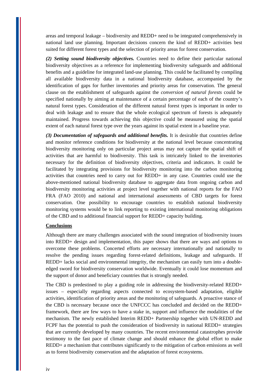areas and temporal leakage – biodiversity and REDD+ need to be integrated comprehensively in national land use planning. Important decisions concern the kind of REDD+ activities best suited for different forest types and the selection of priority areas for forest conservation.

*(2) Setting sound biodiversity objectives.* Countries need to define their particular national biodiversity objectives as a reference for implementing biodiversity safeguards and additional benefits and a guideline for integrated land-use planning. This could be facilitated by compiling all available biodiversity data in a national biodiversity database, accompanied by the identification of gaps for further inventories and priority areas for conservation. The general clause on the establishment of safeguards against the *conversion of natural forests* could be specified nationally by aiming at maintenance of a certain percentage of each of the country's natural forest types. Consideration of the different natural forest types is important in order to deal with leakage and to ensure that the whole ecological spectrum of forests is adequately maintained. Progress towards achieving this objective could be measured using the spatial extent of each natural forest type over the years against its spatial extent in a baseline year.

*(3) Documentation of safeguards and additional benefits.* It is desirable that countries define and monitor reference conditions for biodiversity at the national level because concentrating biodiversity monitoring only on particular project areas may not capture the spatial shift of activities that are harmful to biodiversity. This task is intricately linked to the inventories necessary for the definition of biodiversity objectives, criteria and indicators. It could be facilitated by integrating provisions for biodiversity monitoring into the carbon monitoring activities that countries need to carry out for REDD+ in any case. Countries could use the above-mentioned national biodiversity database to aggregate data from ongoing carbon and biodiversity monitoring activities at project level together with national reports for the FAO FRA (FAO 2010) and national and international assessments of CBD targets for forest conservation. One possibility to encourage countries to establish national biodiversity monitoring systems would be to link reporting to existing international monitoring obligations of the CBD and to additional financial support for REDD+ capacity building.

#### **Conclusions**

Although there are many challenges associated with the sound integration of biodiversity issues into REDD+ design and implementation, this paper shows that there are ways and options to overcome these problems. Concerted efforts are necessary internationally and nationally to resolve the pending issues regarding forest-related definitions, leakage and safeguards. If REDD+ lacks social and environmental integrity, the mechanism can easily turn into a doubleedged sword for biodiversity conservation worldwide. Eventually it could lose momentum and the support of donor and beneficiary countries that is strongly needed.

The CBD is predestined to play a guiding role in addressing the biodiversity-related REDD+ issues – especially regarding aspects connected to ecosystem-based adaptation, eligible activities, identification of priority areas and the monitoring of safeguards. A proactive stance of the CBD is necessary because once the UNFCCC has concluded and decided on the REDD+ framework, there are few ways to have a stake in, support and influence the modalities of the mechanism. The newly established Interim REDD+ Partnership together with UN-REDD and FCPF has the potential to push the consideration of biodiversity in national REDD+ strategies that are currently developed by many countries. The recent environmental catastrophes provide testimony to the fast pace of climate change and should enhance the global effort to make REDD+ a mechanism that contributes significantly to the mitigation of carbon emissions as well as to forest biodiversity conservation and the adaptation of forest ecosystems.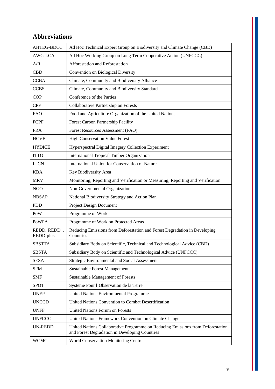# **Abbreviations**

<span id="page-8-0"></span>

| AHTEG-BDCC                | Ad Hoc Technical Expert Group on Biodiversity and Climate Change (CBD)                                                            |  |
|---------------------------|-----------------------------------------------------------------------------------------------------------------------------------|--|
| AWG-LCA                   | Ad Hoc Working Group on Long Term Cooperative Action (UNFCCC)                                                                     |  |
| A/R                       | Afforestation and Reforestation                                                                                                   |  |
| <b>CBD</b>                | Convention on Biological Diversity                                                                                                |  |
| <b>CCBA</b>               | Climate, Community and Biodiversity Alliance                                                                                      |  |
| <b>CCBS</b>               | Climate, Community and Biodiversity Standard                                                                                      |  |
| <b>COP</b>                | Conference of the Parties                                                                                                         |  |
| <b>CPF</b>                | Collaborative Partnership on Forests                                                                                              |  |
| <b>FAO</b>                | Food and Agriculture Organization of the United Nations                                                                           |  |
| FCPF                      | Forest Carbon Partnership Facility                                                                                                |  |
| <b>FRA</b>                | Forest Resources Assessment (FAO)                                                                                                 |  |
| <b>HCVF</b>               | <b>High Conservation Value Forest</b>                                                                                             |  |
| <b>HYDICE</b>             | Hyperspectral Digital Imagery Collection Experiment                                                                               |  |
| <b>ITTO</b>               | <b>International Tropical Timber Organization</b>                                                                                 |  |
| <b>IUCN</b>               | International Union for Conservation of Nature                                                                                    |  |
| <b>KBA</b>                | Key Biodiversity Area                                                                                                             |  |
| <b>MRV</b>                | Monitoring, Reporting and Verification or Measuring, Reporting and Verification                                                   |  |
| <b>NGO</b>                | Non-Governmental Organization                                                                                                     |  |
| <b>NBSAP</b>              | National Biodiversity Strategy and Action Plan                                                                                    |  |
| <b>PDD</b>                | Project Design Document                                                                                                           |  |
| PoW                       | Programme of Work                                                                                                                 |  |
| PoWPA                     | Programme of Work on Protected Areas                                                                                              |  |
| REDD, REDD+,<br>REDD-plus | Reducing Emissions from Deforestation and Forest Degradation in Developing<br>Countries                                           |  |
| <b>SBSTTA</b>             | Subsidiary Body on Scientific, Technical and Technological Advice (CBD)                                                           |  |
| <b>SBSTA</b>              | Subsidiary Body on Scientific and Technological Advice (UNFCCC)                                                                   |  |
| <b>SESA</b>               | Strategic Environmental and Social Assessment                                                                                     |  |
| <b>SFM</b>                | <b>Sustainable Forest Management</b>                                                                                              |  |
| <b>SMF</b>                | Sustainable Management of Forests                                                                                                 |  |
| <b>SPOT</b>               | Système Pour l'Observation de la Terre                                                                                            |  |
| <b>UNEP</b>               | United Nations Environmental Programme                                                                                            |  |
| <b>UNCCD</b>              | United Nations Convention to Combat Desertification                                                                               |  |
| <b>UNFF</b>               | United Nations Forum on Forests                                                                                                   |  |
| <b>UNFCCC</b>             | United Nations Framework Convention on Climate Change                                                                             |  |
| UN-REDD                   | United Nations Collaborative Programme on Reducing Emissions from Deforestation<br>and Forest Degradation in Developing Countries |  |
| <b>WCMC</b>               | World Conservation Monitoring Centre                                                                                              |  |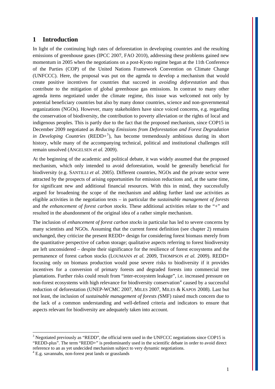# <span id="page-10-0"></span>**1 Introduction**

In light of the continuing high rates of deforestation in developing countries and the resulting emissions of greenhouse gases (IPCC 2007, FAO 2010), addressing these problems gained new momentum in 2005 when the negotiations on a post-Kyoto regime began at the 11th Conference of the Parties (COP) of the United Nations Framework Convention on Climate Change (UNFCCC). Here, the proposal was put on the agenda to develop a mechanism that would create positive incentives for countries that succeed in *avoiding deforestation* and thus contribute to the mitigation of global greenhouse gas emissions. In contrast to many other agenda items negotiated under the climate regime, this issue was welcomed not only by potential beneficiary countries but also by many donor countries, science and non-governmental organizations (NGOs). However, many stakeholders have since voiced concerns, e.g. regarding the conservation of biodiversity, the contribution to poverty alleviation or the rights of local and indigenous peoples. This is partly due to the fact that the proposed mechanism, since COP15 in December 2009 negotiated as *Reducing Emissions from Deforestation and Forest Degradation in Developing Countries* ( $REDD+<sup>3</sup>$  $REDD+<sup>3</sup>$  $REDD+<sup>3</sup>$ ), has become tremendously ambitious during its short history, while many of the accompanying technical, political and institutional challenges still remain unsolved (ANGELSEN *et al.* 2009).

At the beginning of the academic and political debate, it was widely assumed that the proposed mechanism, which only intended to avoid deforestation, would be generally beneficial for biodiversity (e.g. SANTILLI *et al*. 2005). Different countries, NGOs and the private sector were attracted by the prospects of arising opportunities for emission reductions and, at the same time, for significant new and additional financial resources. With this in mind, they successfully argued for broadening the scope of the mechanism and adding further land use activities as eligible activities in the negotiation texts – in particular the *sustainable management of forests*  and *the enhancement of forest carbon stocks*. These additional activities relate to the "+" and resulted in the abandonment of the original idea of a rather simple mechanism.

The inclusion of *enhancement of forest carbon stocks* in particular has led to severe concerns by many scientists and NGOs. Assuming that the current forest definition (see chapter 2) remains unchanged, they criticize the present REDD+ design for considering forest biomass merely from the quantitative perspective of carbon storage; qualitative aspects referring to forest biodiversity are left unconsidered – despite their significance for the resilience of forest ecosystems and the permanence of forest carbon stocks (LOUMANN *et al.* 2009, THOMPSON *et al.* 2009). REDD+ focusing only on biomass production would pose severe risks to biodiversity if it provides incentives for a conversion of primary forests and degraded forests into commercial tree plantations. Further risks could result from "inter-ecosystem leakage", i.e. increased pressure on non-forest ecosystems with high relevance for biodiversity conservation<sup>[4](#page-10-2)</sup> caused by a successful reduction of deforestation (UNEP-WCMC 2007, MILES 2007, MILES & KAPOS 2008). Last but not least, the inclusion of *sustainable management of forests (*SMF) raised much concern due to the lack of a common understanding and well-defined criteria and indicators to ensure that aspects relevant for biodiversity are adequately taken into account.

1

<span id="page-10-1"></span> $3$  Negotiated previously as "REDD", the official term used in the UNFCCC negotiations since COP15 is "REDD-plus". The term "REDD+" is predominantly used in the scientific debate in order to avoid direct reference to an as yet undecided mechanism subject to very dynamic negotiations. 4

<span id="page-10-2"></span><sup>&</sup>lt;sup>4</sup> E.g. savannahs, non-forest peat lands or grasslands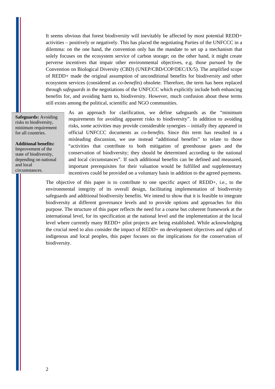It seems obvious that forest biodiversity will inevitably be affected by most potential REDD+ activities – positively or negatively. This has placed the negotiating Parties of the UNFCCC in a dilemma: on the one hand, the convention only has the mandate to set up a mechanism that solely focuses on the ecosystem service of carbon storage; on the other hand, it might create perverse incentives that impair other environmental objectives, e.g. those pursued by the Convention on Biological Diversity (CBD) (UNEP/CBD/COP/DEC/IX/5). The amplified scope of REDD+ made the original assumption of unconditional benefits for biodiversity and other ecosystem services (considered as *co-benefits*) obsolete. Therefore, the term has been replaced through *safeguards* in the negotiations of the UNFCCC which explicitly include both enhancing benefits for, and avoiding harm to, biodiversity. However, much confusion about these terms still exists among the political, scientific and NGO communities.

**Safeguards:** Avoiding risks to biodiversity, minimum requirement for all countries.

**Additional benefits:** Improvement of the state of biodiversity, depending on national and local circumstances.

As an approach for clarification, we define safeguards as the "minimum requirements for avoiding apparent risks to biodiversity". In addition to avoiding risks, some activities may provide considerable synergies – initially they appeared in official UNFCCC documents as *co-benefits*. Since this term has resulted in a misleading discussion, we use instead "additional benefits" to relate to those "activities that contribute to both mitigation of greenhouse gases and the conservation of biodiversity; they should be determined according to the national and local circumstances". If such additional benefits can be defined and measured, important prerequisites for their valuation would be fulfilled and supplementary incentives could be provided on a voluntary basis in addition to the agreed payments.

The objective of this paper is to contribute to one specific aspect of REDD+, i.e., to the environmental integrity of its overall design, facilitating implementation of biodiversity safeguards and additional biodiversity benefits. We intend to show that it is feasible to integrate biodiversity at different governance levels and to provide options and approaches for this purpose. The structure of this paper reflects the need for a coarse but coherent framework at the international level, for its specification at the national level and the implementation at the local level where currently many REDD+ pilot projects are being established. While acknowledging the crucial need to also consider the impact of REDD+ on development objectives and rights of indigenous and local peoples, this paper focuses on the implications for the conservation of biodiversity.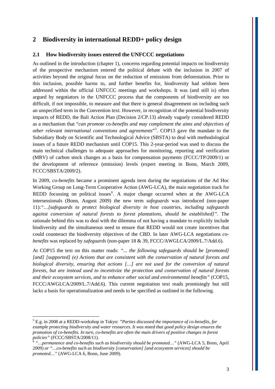# <span id="page-12-0"></span>**2 Biodiversity in international REDD+ policy design**

#### <span id="page-12-1"></span>**2.1 How biodiversity issues entered the UNFCCC negotiations**

As outlined in the introduction (chapter 1), concerns regarding potential impacts on biodiversity of the prospective mechanism entered the political debate with the inclusion in 2007 of activities beyond the original focus on the reduction of emissions from deforestation. Prior to this inclusion, possible harms to, and further benefits for, biodiversity had seldom been addressed within the official UNFCCC meetings and workshops. It was (and still is) often argued by negotiators in the UNFCCC process that the components of biodiversity are too difficult, if not impossible, to measure and that there is general disagreement on including such an unspecified term in the Convention text. However, in recognition of the potential biodiversity impacts of REDD, the Bali Action Plan (Decision 2/CP.13) already vaguely considered REDD as a mechanism that "*can promote co-benefits and may complement the aims and objectives of other relevant international conventions and agreements*"[5](#page-12-2) . COP13 gave the mandate to the Subsidiary Body on Scientific and Technological Advice (SBSTA) to deal with methodological issues of a future REDD mechanism until COP15. This 2-year-period was used to discuss the main technical challenges to adequate approaches for monitoring, reporting and verification (MRV) of carbon stock changes as a basis for compensation payments (FCCC/TP/2009/1) or the development of reference (emission) levels (expert meeting in Bonn, March 2009, FCCC/SBSTA/2009/2).

In 2009, *co-benefits* became a prominent agenda item during the negotiations of the Ad Hoc Working Group on Long-Term Cooperative Action (AWG-LCA), the main negotiation track for REDD focussing on political issues<sup>[6](#page-12-3)</sup>. A major change occurred when at the AWG-LCA intersessionals (Bonn, August 2009) the new term *safeguards* was introduced (non-paper 11):*"…[safeguards to protect biological diversity in host countries, including safeguards against conversion of natural forests to forest plantations, should be established]"*. The rationale behind this was to deal with the dilemma of not having a mandate to explicitly include biodiversity and the simultaneous need to ensure that REDD would not create incentives that could counteract the biodiversity objectives of the CBD. In later AWG-LCA negotiations *cobenefits* was replaced by *safeguards* (non-paper 18 & 39, FCCC/AWGLCA/2009/L.7/Add.6).

At COP15 the text on this matter reads: *"... the following safeguards should be [promoted]*  [and] [supported] (e) Actions that are consistent with the conservation of natural forests and *biological diversity, ensuring that actions […] are not used for the conversion of natural forests, but are instead used to incentivize the protection and conservation of natural forests and their ecosystem services, and to enhance other social and environmental benefits"* (COP15, FCCC/AWGLCA/2009/L.7/Add.6). This current negotiation text reads promisingly but still lacks a basis for operationalization and needs to be specified as outlined in the following.

1

<span id="page-12-2"></span><sup>5</sup> E.g. in 2008 at a REDD-workshop in Tokyo: *"Parties discussed the importance of co-benefits, for example protecting biodiversity and water resources. It was noted that good policy design ensures the promotion of co-benefits. In turn, co-benefits are often the main drivers of positive changes in forest* 

<span id="page-12-3"></span><sup>&</sup>lt;sup>6</sup> "...permanence and co-benefits such as biodiversity should be promoted..." (AWG-LCA 5, Bonn, April 2009) *or "…co-benefits such as biodiversity [conservation] [and ecosystem services] should be promoted…"* (AWG-LCA 6, Bonn, June 2009)*.*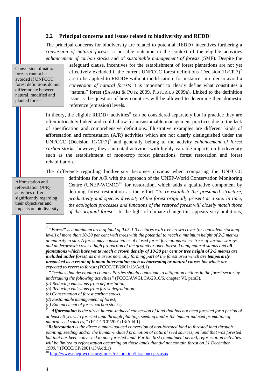#### **2.2 Principal concerns and issues related to biodiversity and REDD+**

The principal concerns for biodiversity are related to potential REDD+ incentives furthering a *conversion of natural forests*, a possible outcome in the context of the eligible activities *enhancement of carbon stocks* and of *sustainable management of forests* (SMF). Despite the

<span id="page-13-0"></span>Conversion of natural forests cannot be avoided if UNFCCC forest definitions do not differentiate between natural, modified and planted forests.

safeguard clause, incentives for the establishment of forest plantations are not yet effectively excluded if the current UNFCCC forest definitions (Decision  $11/CP.7$  $11/CP.7$ )<sup>7</sup> are to be applied to REDD+ without modification: for instance, in order to avoid a *conversion of natural forests* it is important to clearly define what constitutes a "natural" forest (SASAKI & PUTZ 2009, PISTORIUS 2009a). Linked to the definition issue is the question of how countries will be allowed to determine their domestic reference (emission) levels.

In theory, the eligible REDD+ activities<sup>[8](#page-13-2)</sup> can be considered separately but in practice they are often intricately linked and could allow for unsustainable management practices due to the lack of specification and comprehensive definitions. Illustrative examples are different kinds of afforestation and reforestation (A/R) activities which are not clearly distinguished under the UNFCCC (Decision  $11/CP.7$ <sup>[9](#page-13-3)</sup> and generally belong to the activity *enhancement of forest carbon stocks*; however, they can entail activities with highly variable impacts on biodiversity such as the establishment of monocrop forest plantations, forest restoration and forest rehabilitation.

The difference regarding biodiversity becomes obvious when comparing the UNFCCC

Afforestation and reforestation (A/R) activities differ significantly regarding their objectives and impacts on biodiversity.

 $\overline{a}$ 

definitions for A/R with the approach of the UNEP-World Conservation Monitoring Centre (UNEP-WCMC)<sup>[10](#page-13-4)</sup> for restoration, which adds a qualitative component by defining forest restoration as the effort *"to re-establish the presumed structure, productivity and species diversity of the forest originally present at a site. In time, the ecological processes and functions of the restored forest will closely match those of the original forest."* In the light of climate change this appears very ambitious,

<span id="page-13-1"></span><sup>7</sup> *"Forest" is a minimum area of land of 0.05-1.0 hectares with tree crown cover (or equivalent stocking level) of more than 10-30 per cent with trees with the potential to reach a minimum height of 2-5 metres at maturity in situ. A forest may consist either of closed forest formations where trees of various storeys and undergrowth cover a high proportion of the ground or open forest. Young natural stands and all plantations which have yet to reach a crown density of 10-30 per cent or tree height of 2-5 metres are included under forest, as are areas normally forming part of the forest area which are temporarily unstocked as a result of human intervention such as harvesting or natural causes but which are expected to revert to forest;* (FCCC/CP/2001/13/Add.1)

<span id="page-13-2"></span><sup>8</sup> *"Decides that developing country Parties should contribute to mitigation actions in the forest sector by undertaking the following activities"* (FCCC/AWGLCA/2010/6, chapter VI, para3)*:* 

*<sup>(</sup>a) Reducing emissions from deforestation;* 

*<sup>(</sup>b) Reducing emissions from forest degradation;* 

*<sup>(</sup>c) Conservation of forest carbon stocks;* 

*<sup>(</sup>d) Sustainable management of forest;* 

<span id="page-13-3"></span>*<sup>(</sup>e) Enhancement of forest carbon stocks;* 9 *"Afforestation is the direct human-induced conversion of land that has not been forested for a period of at least 50 years to forested land through planting, seeding and/or the human-induced promotion of natural seed sources;"* (FCCC/CP/2001/13/Add.1)

*<sup>&</sup>quot;Reforestation is the direct human-induced conversion of non-forested land to forested land through planting, seeding and/or the human-induced promotion of natural seed sources, on land that was forested but that has been converted to non-forested land. For the first commitment period, reforestation activities will be limited to reforestation occurring on those lands that did not contain forest on 31 December 1989."* (FCCC/CP/2001/13/Add.1)<br><sup>10</sup> http://www.unep-wcmc.org/forest/restoration/fris/concepts.aspx

<span id="page-13-4"></span>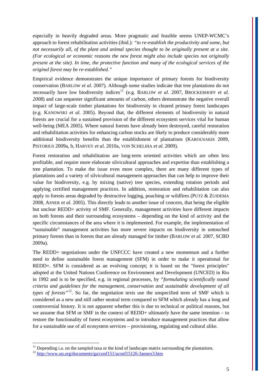especially in heavily degraded areas. More pragmatic and feasible seems UNEP-WCMC's approach to forest rehabilitation activities (ibid.): *"to re-establish the productivity and some, but not necessarily all, of the plant and animal species thought to be originally present at a site. (For ecological or economic reasons the new forest might also include species not originally present at the site). In time, the protective function and many of the ecological services of the original forest may be re-established."* 

Empirical evidence demonstrates the unique importance of primary forests for biodiversity conservation (BARLOW *et al.* 2007)*.* Although some studies indicate that tree plantations do not necessarily have low biodiversity indices<sup>[11](#page-14-0)</sup> (e.g. BARLOW *et al.* 2007, BROCKERHOFF *et al. 2008*) and can sequester significant amounts of carbon, others demonstrate the negative overall impact of large-scale timber plantations for biodiversity in cleared primary forest landscapes (e.g. KANOWSKI *et al.* 2005). Beyond that, the different elements of biodiversity in natural forests are crucial for a sustained provision of the different ecosystem services vital for human well-being (MEA 2005). Where natural forests have already been destroyed, careful restoration and rehabilitation activities for enhancing carbon stocks are likely to produce considerably more additional biodiversity benefits than the establishment of plantations (KAROUSAKIS 2009, PISTORIUS 2009a, b, HARVEY *et al.* 2010a, VON SCHELIHA *et al.* 2009).

Forest restoration and rehabilitation are long-term oriented activities which are often less profitable, and require more elaborate silvicultural approaches and expertise than establishing a tree plantation. To make the issue even more complex, there are many different types of plantations and a variety of silvicultural management approaches that can help to improve their value for biodiversity, e.g. by mixing (native) tree species, extending rotation periods and applying certified management practices. In addition, restoration and rehabilitation can also apply to forests areas degraded by destructive logging, poaching or wildfires (PUTZ & ZUIDEMA 2008, ASNER *et al.* 2005). This directly leads to another issue of concern, that being the eligible but unclear REDD+ activity of SMF. Generally, management activities have different impacts on both forests and their surrounding ecosystems – depending on the kind of activity and the specific circumstances of the area where it is implemented. For example, the implementation of "sustainable" management activities has more severe impacts on biodiversity in untouched primary forests than in forests that are already managed for timber (BARLOW *et al.* 2007, SCBD 2009a).

The REDD+ negotiations under the UNFCCC have created a new momentum and a further need to define sustainable forest management (SFM) in order to make it operational for REDD+. SFM is considered as an evolving concept; it is based on the "forest principles" adopted at the United Nations Conference on Environment and Development (UNCED) in Rio in 1992 and is to be specified, e.g. in regional processes, by *"formulating scientifically sound criteria and guidelines for the management, conservation and sustainable development of all types of forests"*[12](#page-14-1). So far, the negotiation texts use the unspecified term of SMF which is considered as a new and still rather neutral term compared to SFM which already has a long and controversial history. It is not apparent whether this is due to technical or political reasons, but we assume that SFM or SMF in the context of REDD+ ultimately have the same intention – to restore the functionality of forest ecosystems and to introduce management practices that allow for a sustainable use of all ecosystem services – provisioning, regulating and cultural alike.

<u>.</u>

<span id="page-14-0"></span> $11$  Depending i.a. on the sampled taxa or the kind of landscape matrix surrounding the plantations.

<span id="page-14-1"></span><sup>12</sup> <http://www.un.org/documents/ga/conf151/aconf15126-3annex3.htm>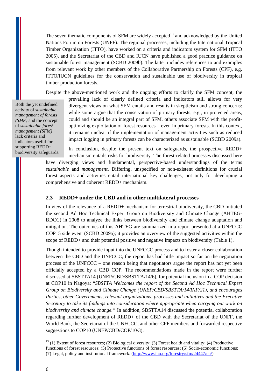The seven thematic components of SFM are widely accepted<sup>[13](#page-15-1)</sup> and acknowledged by the United Nations Forum on Forests (UNFF). The regional processes, including the International Tropical Timber Organization (ITTO), have worked on a criteria and indicators system for SFM (ITTO 2005), and the Secretariat of the CBD and IUCN have published a good practice guidance on sustainable forest management (SCBD 2009b). The latter includes references to and examples from relevant work by other members of the Collaborative Partnership on Forests (CPF), e.g. ITTO/IUCN guidelines for the conservation and sustainable use of biodiversity in tropical timber production forests.

Despite the above-mentioned work and the ongoing efforts to clarify the SFM concept, the

Both the yet undefined activity of *sustainable management of forests (SMF)* and the concept of *sustainable forest management (SFM)*  lack criteria and indicators useful for supporting REDD+ biodiversity safeguards. prevailing lack of clearly defined criteria and indicators still allows for very divergent views on what SFM entails and results in skepticism and strong concerns: while some argue that the conservation of primary forests, e.g., in protected areas, could and should be an integral part of SFM, others associate SFM with the profitoptimizing exploitation of forest resources – even in primary forests. In this context, it remains unclear if the implementation of management activities such as reduced impact logging in primary forests can be characterized as sustainable (SCBD 2009a).

In conclusion, despite the present text on safeguards, the prospective REDD+ mechanism entails risks for biodiversity. The forest-related processes discussed here have diverging views and fundamental, perspective-based understandings of the terms *sustainable* and *management*. Differing, unspecified or non-existent definitions for crucial forest aspects and activities entail international key challenges, not only for developing a comprehensive and coherent REDD+ mechanism.

#### <span id="page-15-0"></span>**2.3 REDD+ under the CBD and in other multilateral processes**

In view of the relevance of a REDD+ mechanism for terrestrial biodiversity, the CBD initiated the second Ad Hoc Technical Expert Group on Biodiversity and Climate Change (AHTEG-BDCC) in 2008 to analyze the links between biodiversity and climate change adaptation and mitigation. The outcomes of this AHTEG are summarized in a report presented at a UNFCCC COP15 side event (SCBD 2009a); it provides an overview of the suggested activities within the scope of REDD+ and their potential positive and negative impacts on biodiversity (Table 1).

Though intended to provide input into the UNFCCC process and to foster a closer collaboration between the CBD and the UNFCCC, the report has had little impact so far on the negotiation process of the UNFCCC – one reason being that negotiators argue the report has not yet been officially accepted by a CBD COP. The recommendations made in the report were further discussed at SBSTTA14 (UNEP/CBD/SBSTTA/14/6), for potential inclusion in a COP decision at COP10 in Nagoya: "*SBSTTA Welcomes the report of the Second Ad Hoc Technical Expert Group on Biodiversity and Climate Change (UNEP/CBD/SBSTTA/14/INF/21), and encourages Parties, other Governments, relevant organizations, processes and initiatives and the Executive Secretary to take its findings into consideration where appropriate when carrying out work on biodiversity and climate change."* In addition, SBSTTA14 discussed the potential collaboration regarding further development of REDD+ of the CBD with the Secretariat of the UNFF, the World Bank, the Secretariat of the UNFCCC, and other CPF members and forwarded respective suggestions to COP10 (UNEP/CBD/COP/10/3).

 $\overline{a}$ 

<span id="page-15-1"></span> $13$  (1) Extent of forest resources; (2) Biological diversity; (3) Forest health and vitality; (4) Productive functions of forest resources; (5) Protective functions of forest resources; (6) Socio-economic functions; (7) Legal, policy and institutional framework. (http://[www.fao.org/forestry/sfm/24447/en/](http://www.fao.org/forestry/sfm/24447/en/))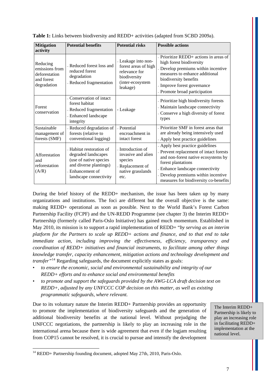| <b>Mitigation</b><br>activity                                            | <b>Potential benefits</b>                                                                                                                         | <b>Potential risks</b>                                                                                       | <b>Possible actions</b>                                                                                                                                                                                                                                      |
|--------------------------------------------------------------------------|---------------------------------------------------------------------------------------------------------------------------------------------------|--------------------------------------------------------------------------------------------------------------|--------------------------------------------------------------------------------------------------------------------------------------------------------------------------------------------------------------------------------------------------------------|
| Reducing<br>emissions from<br>deforestation<br>and forest<br>degradation | - Reduced forest loss and<br>reduced forest<br>degradation<br>- Reduced fragmentation                                                             | - Leakage into non-<br>forest areas of high<br>relevance for<br>biodiversity<br>(inter-ecosystem<br>leakage) | - Prioritize REDD+ actions in areas of<br>high forest biodiversity<br>- Develop premiums within incentive<br>measures to enhance additional<br>biodiversity benefits<br>- Improve forest governance<br>- Promote broad participation                         |
| Forest<br>conservation                                                   | - Conservation of intact<br>forest habitat<br>- Reduced fragmentation<br>- Enhanced landscape<br>integrity                                        | - Leakage                                                                                                    | - Prioritize high biodiversity forests<br>- Maintain landscape connectivity<br>- Conserve a high diversity of forest<br>types                                                                                                                                |
| Sustainable<br>management of<br>forests (SMF)                            | - Reduced degradation of<br>forests (relative to<br>conventional logging)                                                                         | - Potential<br>encroachment in<br>intact forest                                                              | - Prioritize SMF in forest areas that<br>are already being intensively used<br>- Apply best practice guidelines                                                                                                                                              |
| Afforestation<br>and<br>reforestation<br>(A/R)                           | - Habitat restoration of<br>degraded landscapes<br>(use of native species<br>and diverse plantings)<br>- Enhancement of<br>landscape connectivity | - Introduction of<br>invasive and alien<br>species<br>- Replacement of<br>native grasslands<br>etc.          | - Apply best practice guidelines<br>- Prevent replacement of intact forests<br>and non-forest native ecosystems by<br>forest plantations<br>- Enhance landscape connectivity<br>- Develop premiums within incentive<br>measures for biodiversity co-benefits |

**Table 1:** Links between biodiversity and REDD+ activities (adapted from SCBD 2009a).

During the brief history of the REDD+ mechanism, the issue has been taken up by many organizations and institutions. The foci are different but the overall objective is the same: making REDD+ operational as soon as possible. Next to the World Bank's Forest Carbon Partnership Facility (FCPF) and the UN-REDD Programme (see chapter 3) the Interim REDD+ Partnership (formerly called Paris-Oslo Initiative) has gained much momentum. Established in May 2010, its mission is to support a rapid implementation of REDD+ "*by serving as an interim platform for the Partners to scale up REDD+ actions and finance, and to that end to take immediate action, including improving the effectiveness, efficiency, transparency and coordination of REDD+ initiatives and financial instruments, to facilitate among other things knowledge transfer, capacity enhancement, mitigation actions and technology development and transfer*<sup>"[14](#page-16-0)</sup> Regarding safeguards, the document explicitly states as goals:

- *to ensure the economic, social and environmental sustainability and integrity of our REDD+ efforts and to enhance social and environmental benefits*
- *to promote and support the safeguards provided by the AWG-LCA draft decision text on REDD+, adjusted by any UNFCCC COP decision on this matter, as well as existing programmatic safeguards, where relevant.*

Due to its voluntary nature the Interim REDD+ Partnership provides an opportunity to promote the implementation of biodiversity safeguards and the generation of additional biodiversity benefits at the national level. Without prejudging the UNFCCC negotiations, the partnership is likely to play an increasing role in the international arena because there is wide agreement that even if the logjam resulting from COP15 cannot be resolved, it is crucial to pursue and intensify the development

The Interim REDD+ Partnership is likely to play an increasing role in facilitating REDD+ implementation at the national level.

1

<span id="page-16-0"></span><sup>&</sup>lt;sup>14</sup> REDD+ Partnership founding document, adopted May 27th, 2010, Paris-Oslo.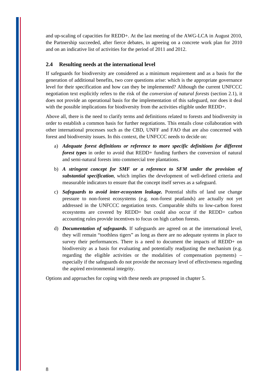and up-scaling of capacities for REDD+. At the last meeting of the AWG-LCA in August 2010, the Partnership succeeded, after fierce debates, in agreeing on a concrete work plan for 2010 and on an indicative list of activities for the period of 2011 and 2012.

#### <span id="page-17-0"></span>**2.4 Resulting needs at the international level**

If safeguards for biodiversity are considered as a minimum requirement and as a basis for the generation of additional benefits, two core questions arise: which is the appropriate governance level for their specification and how can they be implemented? Although the current UNFCCC negotiation text explicitly refers to the risk of the *conversion of natural forests* (section 2.1), it does not provide an operational basis for the implementation of this safeguard, nor does it deal with the possible implications for biodiversity from the activities eligible under REDD+.

Above all, there is the need to clarify terms and definitions related to forests and biodiversity in order to establish a common basis for further negotiations. This entails close collaboration with other international processes such as the CBD, UNFF and FAO that are also concerned with forest and biodiversity issues. In this context, the UNFCCC needs to decide on:

- a) *Adequate forest definitions or reference to more specific definitions for different forest types* in order to avoid that REDD+ funding furthers the conversion of natural and semi-natural forests into commercial tree plantations.
- b) *A stringent concept for SMF or a reference to SFM under the provision of substantial specification*, which implies the development of well-defined criteria and measurable indicators to ensure that the concept itself serves as a safeguard.
- c) *Safeguards to avoid inter-ecosystem leakage.* Potential shifts of land use change pressure to non-forest ecosystems (e.g. non-forest peatlands) are actually not yet addressed in the UNFCCC negotiation texts. Comparable shifts to low-carbon forest ecosystems are covered by REDD+ but could also occur if the REDD+ carbon accounting rules provide incentives to focus on high carbon forests.
- d) *Documentation of safeguards.* If safeguards are agreed on at the international level, they will remain "toothless tigers" as long as there are no adequate systems in place to survey their performances. There is a need to document the impacts of REDD+ on biodiversity as a basis for evaluating and potentially readjusting the mechanism (e.g. regarding the eligible activities or the modalities of compensation payments) – especially if the safeguards do not provide the necessary level of effectiveness regarding the aspired environmental integrity.

Options and approaches for coping with these needs are proposed in chapter 5.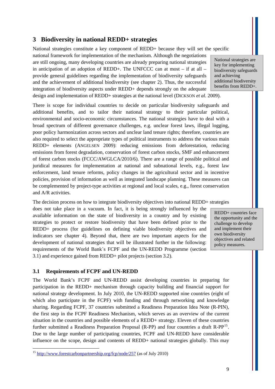#### further submitted a Readiness Preparation Proposal (R-PP) and four countries a draft R-PP<sup>[15](#page-18-2)</sup>. Due to the large number of participating countries, FCPF and UN-REDD have considerable

<span id="page-18-1"></span>**3.1 Requirements of FCPF and UN-REDD** 

influence on the scope, design and contents of REDD+ national strategies globally. This may

The World Bank's FCPF and UN-REDD assist developing countries in preparing for participation in the REDD+ mechanism through capacity building and financial support for national strategy development. In July 2010, the UN-REDD supported nine countries (eight of which also participate in the FCPF) with funding and through networking and knowledge sharing. Regarding FCPF, 37 countries submitted a Readiness Preparation Idea Note (R-PIN), the first step in the FCPF Readiness Mechanism, which serves as an overview of the current situation in the countries and possible elements of a REDD+ strategy. Eleven of these countries

# <span id="page-18-0"></span>**3 Biodiversity in national REDD+ strategies**

National strategies constitute a key component of REDD+ because they will set the specific

national framework for implementation of the mechanism. Although the negotiations are still ongoing, many developing countries are already preparing national strategies in anticipation of an adoption of REDD+. The UNFCCC can at most  $-$  if at all  $$ provide general guidelines regarding the implementation of biodiversity safeguards and the achievement of additional biodiversity (see chapter 2). Thus, the successful integration of biodiversity aspects under REDD+ depends strongly on the adequate design and implementation of REDD+ strategies at the national level (DICKSON *et al.* 2009).

There is scope for individual countries to decide on particular biodiversity safeguards and additional benefits, and to tailor their national strategy to their particular political, environmental and socio-economic circumstances. The national strategies have to deal with a broad spectrum of different governance challenges, e.g. unclear forest laws, illegal logging, poor policy harmonization across sectors and unclear land tenure rights; therefore, countries are also required to select the appropriate types of political instruments to address the various main REDD+ elements (ANGELSEN 2009): reducing emissions from deforestation, reducing emissions from forest degradation, conservation of forest carbon stocks, SMF and enhancement of forest carbon stocks (FCCC/AWGLCA/2010/6). There are a range of possible political and juridical measures for implementation at national and subnational levels, e.g., forest law enforcement, land tenure reforms, policy changes in the agricultural sector and in incentive policies, provision of information as well as integrated landscape planning. These measures can be complemented by project-type activities at regional and local scales, e.g., forest conservation and A/R activities.

The decision process on how to integrate biodiversity objectives into national REDD+ strategies

does not take place in a vacuum. In fact, it is being strongly influenced by the available information on the state of biodiversity in a country and by existing strategies to protect or restore biodiversity that have been defined prior to the REDD+ process (for guidelines on defining viable biodiversity objectives and indicators see chapter 4). Beyond that, there are two important aspects for the development of national strategies that will be illustrated further in the following: requirements of the World Bank´s FCPF and the UN-REDD Programme (section 3.1) and experience gained from REDD+ pilot projects (section 3.2).

REDD+ countries face the opportunity and the challenge to develop and implement their own biodiversity objectives and related policy measures.

National strategies are key for implementing biodiversity safeguards and achieving additional biodiversity benefits from REDD+.

<span id="page-18-2"></span><sup>1</sup> <sup>15</sup> <http://www.forestcarbonpartnership.org/fcp/node/257> (as of July 2010)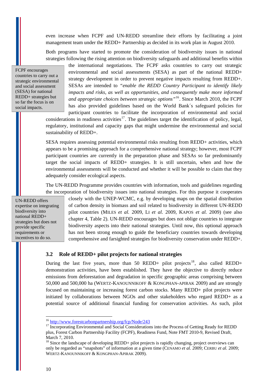even increase when FCPF and UN-REDD streamline their efforts by facilitating a joint management team under the REDD+ Partnership as decided in its work plan in August 2010.

Both programs have started to promote the consideration of biodiversity issues in national strategies following the rising attention on biodiversity safeguards and additional benefits within

FCPF encourages countries to carry out a strategic environmental and social assessment (SESA) for national REDD+ strategies but so far the focus is on social impacts.

the international negotiations. The FCPF asks countries to carry out strategic environmental and social assessments (SESA) as part of the national REDD+ strategy development in order to prevent negative impacts resulting from REDD+. SESAs are intended to *"enable the REDD Country Participant to identify likely impacts and risks, as well as opportunities, and consequently make more informed and appropriate choices between strategic options"*[16](#page-19-1). Since March 2010, the FCPF has also provided guidelines based on the World Bank´s safeguard policies for participant countries to facilitate the incorporation of environmental and social

considerations in readiness activities<sup>[17](#page-19-2)</sup>. The guidelines target the identification of policy, legal, regulatory, institutional and capacity gaps that might undermine the environmental and social sustainability of REDD+.

SESA requires assessing potential environmental risks resulting from REDD+ activities, which appears to be a promising approach for a comprehensive national strategy; however, most FCPF participant countries are currently in the preparation phase and SESAs so far predominantly target the social impacts of REDD+ strategies. It is still uncertain, when and how the environmental assessments will be conducted and whether it will be possible to claim that they adequately consider ecological aspects.

The UN-REDD Programme provides countries with information, tools and guidelines regarding the incorporation of biodiversity issues into national strategies. For this purpose it cooperates

UN-REDD offers expertise on integrating biodiversity into national REDD+ strategies but does not provide specific requirements or incentives to do so.

closely with the UNEP-WCMC, e.g. by developing maps on the spatial distribution of carbon density in biomass and soil related to biodiversity in different UN-REDD pilot countries (MILES *et al.* 2009, LI *et al*. 2009, KAPOS *et al.* 2009) (see also chapter 4, Table 2). UN-REDD encourages but does not oblige countries to integrate biodiversity aspects into their national strategies. Until now, this optional approach has not been strong enough to guide the beneficiary countries towards developing comprehensive and farsighted strategies for biodiversity conservation under REDD+.

#### <span id="page-19-0"></span>**3.2 Role of REDD+ pilot projects for national strategies**

During the last five years, more than 50 REDD+ pilot projects<sup>[18](#page-19-3)</sup>, also called REDD+ demonstration activities, have been established. They have the objective to directly reduce emissions from deforestation and degradation in specific geographic areas comprising between 50,000 and 500,000 ha (WERTZ-KANOUNNIKOFF & KONGPHAN-APIRAK 2009) and are strongly focused on maintaining or increasing forest carbon stocks. Many REDD+ pilot projects were initiated by collaborations between NGOs and other stakeholders who regard REDD+ as a potential source of additional financial funding for conservation activities. As such, pilot

 $\overline{a}$ 

<span id="page-19-2"></span><span id="page-19-1"></span><sup>&</sup>lt;sup>16</sup> http://www.forestcarbonpartnership.org/fcp/Node/243<br><sup>17</sup> Incorporating Environmental and Social Considerations into the Process of Getting Ready for REDD plus, Forest Carbon Partnership Facility (FCPF), Readiness Fund, Note FMT 2010-9, Revised Draft, March 7, 2010.

<span id="page-19-3"></span><sup>&</sup>lt;sup>18</sup> Since the landscape of developing REDD+ pilot projects is rapidly changing, project overviews can only be regarded as "snapshots" of information at a given time (CENAMO *et al.* 2009; CERBU *et al.* 2009; WERTZ-KANOUNNIKOFF & KONGPHAN-APIRAK 2009).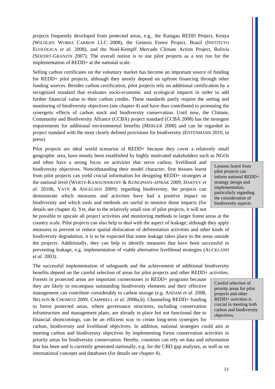projects frequently developed from protected areas, e.g., the Kasigau REDD Project, Kenya (WILDLIFE WORKS CARBON LLC 2008), the Genesis Forest Project, Brazil (INSTITUTO ECOLÓGICA *et al.* 2008), and the Noel-Kempff Mercado Climate Action Project, Bolivia (SEIFERT-GRANZIN 2007). The overall notion is to use pilot projects as a test run for the implementation of REDD+ at the national scale.

Selling carbon certificates on the voluntary market has become an important source of funding for REDD+ pilot projects, although they mostly depend on upfront financing through other funding sources. Besides carbon certification, pilot projects rely on additional certification by a recognized standard that evaluates socio-economic and ecological impacts in order to add further financial value to their carbon credits. These standards partly require the setting and monitoring of biodiversity objectives (see chapter 4) and have thus contributed to promoting the synergetic effects of carbon stock and biodiversity conservation. Until now, the Climate, Community and Biodiversity Alliance (CCBA) project standard (CCBA 2008) has the strongest requirements for additional environmental benefits (MERGER 2008) and can be regarded as project standard with the most clearly defined provisions for biodiversity (ENTENMANN 2010, in press).

Pilot projects are ideal world scenarios of REDD+ because they cover a relatively small geographic area, have mostly been established by highly motivated stakeholders such as NGOs

and often have a strong focus on activities that serve carbon, livelihood and biodiversity objectives. Notwithstanding their model character, first lessons learnt from pilot projects can yield crucial information for designing REDD+ strategies at the national level (WERTZ-KANOUNNIKOFF & KONGPHAN-APIRAK 2009, HARVEY *et al.* 2010b, VATN & ANGELSEN 2009): regarding biodiversity, the projects can demonstrate which measures and activities have had a positive impact on biodiversity and which tools and methods are useful to monitor those impacts (for details see chapter 4). Yet, due to the relatively small size of pilot projects, it will not

be possible to upscale all project activities and monitoring methods to larger forest areas at the country scale. Pilot projects can also help to deal with the aspect of leakage; although they apply measures to prevent or reduce spatial dislocation of deforestation activities and other kinds of biodiversity degradation, it is to be expected that some leakage takes place in the areas outside the projects. Additionally, they can help to identify measures that have been successful in preventing leakage, e.g. implementation of viable alternative livelihood strategies (AUCKLAND *et al.* 2003).

The successful implementation of safeguards and the achievement of additional biodiversity benefits depend on the careful selection of areas for pilot projects and other REDD+ activities.

Forests in protected areas are important cornerstones in REDD+ programs because they are likely to encompass outstanding biodiversity elements and their effective management can contribute considerably to carbon storage (e.g. ANDAM *et al.* 2008, NELSON & CHOMITZ 2009, CAMPBELL *et al.* 2008a,b). Channeling REDD+ funding to forest protected areas, where governance structures, including conservation infrastructure and management plans, are already in place but not functional due to financial shortcomings, can be an efficient way to create long-term synergies for

carbon, biodiversity and livelihood objectives. In addition, national strategies could aim at meeting carbon and biodiversity objectives by implementing forest conservation activities in priority areas for biodiversity conservation. Hereby, countries can rely on data and information that has been and is currently generated nationally, e.g. for the CBD gap analyses, as well as on international concepts and databases (for details see chapter 4).

Lessons learnt from pilot projects can inform national REDD+ strategy design and implementation, particularly regarding the consideration of biodiversity aspects.

Careful selection of priority areas for pilot projects and other REDD+ activities is crucial in meeting both carbon and biodiversity objectives.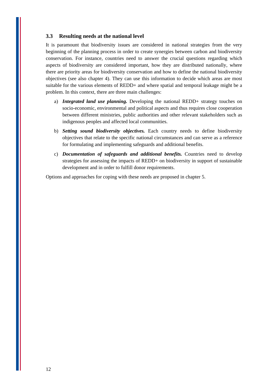#### <span id="page-21-0"></span>**3.3 Resulting needs at the national level**

It is paramount that biodiversity issues are considered in national strategies from the very beginning of the planning process in order to create synergies between carbon and biodiversity conservation. For instance, countries need to answer the crucial questions regarding which aspects of biodiversity are considered important, how they are distributed nationally, where there are priority areas for biodiversity conservation and how to define the national biodiversity objectives (see also chapter 4). They can use this information to decide which areas are most suitable for the various elements of REDD+ and where spatial and temporal leakage might be a problem. In this context, there are three main challenges:

- a) *Integrated land use planning.* Developing the national REDD+ strategy touches on socio-economic, environmental and political aspects and thus requires close cooperation between different ministries, public authorities and other relevant stakeholders such as indigenous peoples and affected local communities.
- b) *Setting sound biodiversity objectives.* Each country needs to define biodiversity objectives that relate to the specific national circumstances and can serve as a reference for formulating and implementing safeguards and additional benefits.
- c) *Documentation of safeguards and additional benefits.* Countries need to develop strategies for assessing the impacts of REDD+ on biodiversity in support of sustainable development and in order to fulfill donor requirements.

Options and approaches for coping with these needs are proposed in chapter 5.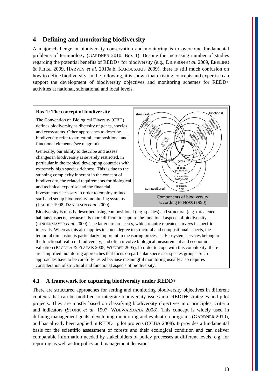# <span id="page-22-0"></span>**4 Defining and monitoring biodiversity**

A major challenge in biodiversity conservation and monitoring is to overcome fundamental problems of terminology (GARDNER 2010, Box 1). Despite the increasing number of studies regarding the potential benefits of REDD+ for biodiversity (e.g., DICKSON *et al.* 2009, EBELING & FEHSE 2009, HARVEY *et al.* 2010a,b, KAROUSAKIS 2009), there is still much confusion on how to define biodiversity. In the following, it is shown that existing concepts and expertise can support the development of biodiversity objectives and monitoring schemes for REDD+ activities at national, subnational and local levels.

#### **Box 1: The concept of biodiversity**

The Convention on Biological Diversity (CBD) defines biodiversity as diversity of genes, species and ecosystems. Other approaches to describe biodiversity refer to structural, compositional and functional elements (see diagram).

Generally, our ability to describe and assess changes in biodiversity is severely restricted, in particular in the tropical developing countries with extremely high species richness. This is due to the stunning complexity inherent in the concept of biodiversity, the related requirements for biological and technical expertise and the financial investments necessary in order to employ trained staff and set up biodiversity monitoring systems (LACHER 1998, DANIELSEN *et al.* 2000).



Biodiversity is mostly described using compositional (e.g. species) and structural (e.g. threatened habitats) aspects, because it is more difficult to capture the functional aspects of biodiversity (LINDENMAYER *et al.* 2000). The latter are processes, which require repeated surveys in specific intervals. Whereas this also applies to some degree to structural and compositional aspects, the temporal dimension is particularly important in measuring processes. Ecosystem services belong to the functional realm of biodiversity, and often involve biological measurement and economic valuation (PAGIOLA & PLATAIS 2005, WUNDER 2005). In order to cope with this complexity, there are simplified monitoring approaches that focus on particular species or species groups. Such approaches have to be carefully tested because meaningful monitoring usually also requires consideration of structural and functional aspects of biodiversity.

# <span id="page-22-1"></span>**4.1 A framework for capturing biodiversity under REDD+**

There are structured approaches for setting and monitoring biodiversity objectives in different contexts that can be modified to integrate biodiversity issues into REDD+ strategies and pilot projects. They are mostly based on classifying biodiversity objectives into principles, criteria and indicators (STORK *et al.* 1997, WIJEWARDANA 2008). This concept is widely used in defining management goals, developing monitoring and evaluation programs (GARDNER 2010), and has already been applied in REDD+ pilot projects (CCBA 2008). It provides a fundamental basis for the scientific assessment of forests and their ecological condition and can deliver comparable information needed by stakeholders of policy processes at different levels, e.g. for reporting as well as for policy and management decisions.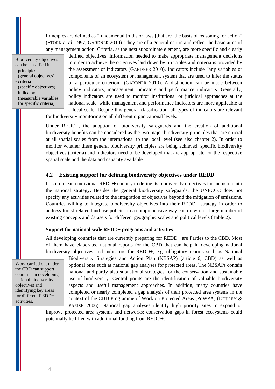Principles are defined as "fundamental truths or laws [that are] the basis of reasoning for action" (STORK *et al.* 1997, GARDNER 2010). They are of a general nature and reflect the basic aims of any management action. Criteria, as the next subordinate element, are more specific and clearly

Biodiversity objectives can be classified in

- principles (general objectives)
- criteria (specific objectives) - indicators
- (measurable variables for specific criteria)

defined objectives. Information needed to make appropriate management decisions in order to achieve the objectives laid down by principles and criteria is provided by the assessment of indicators (GARDNER 2010). Indicators include "any variables or components of an ecosystem or management system that are used to infer the status of a particular criterion" (GARDNER 2010). A distinction can be made between policy indicators, management indicators and performance indicators. Generally, policy indicators are used to monitor institutional or juridical approaches at the national scale, while management and performance indicators are more applicable at a local scale. Despite this general classification, all types of indicators are relevant

for biodiversity monitoring on all different organizational levels.

Under REDD+, the adoption of biodiversity safeguards and the creation of additional biodiversity benefits can be considered as the two major biodiversity principles that are crucial at all spatial scales from the international to the local level (see also chapter 2). In order to monitor whether these general biodiversity principles are being achieved, specific biodiversity objectives (criteria) and indicators need to be developed that are appropriate for the respective spatial scale and the data and capacity available.

#### <span id="page-23-0"></span>**4.2 Existing support for defining biodiversity objectives under REDD+**

It is up to each individual REDD+ country to define its biodiversity objectives for inclusion into the national strategy. Besides the general biodiversity safeguards, the UNFCCC does not specify any activities related to the integration of objectives beyond the mitigation of emissions. Countries willing to integrate biodiversity objectives into their REDD+ strategy in order to address forest-related land use policies in a comprehensive way can draw on a large number of existing concepts and datasets for different geographic scales and political levels (Table 2).

#### **Support for national scale REDD+ programs and activities**

All developing countries that are currently preparing for REDD+ are Parties to the CBD. Most of them have elaborated national reports for the CBD that can help in developing national biodiversity objectives and indicators for REDD+, e.g. obligatory reports such as National

Work carried out under the CBD can support countries in developing national biodiversity objectives and identifying key areas for different REDD+ activities.

Biodiversity Strategies and Action Plan (NBSAP) (article 6, CBD) as well as optional ones such as national gap analyses for protected areas. The NBSAPs contain national and partly also subnational strategies for the conservation and sustainable use of biodiversity. Central points are the identification of valuable biodiversity aspects and useful management approaches. In addition, many countries have completed or nearly completed a gap analysis of their protected area systems in the context of the CBD Programme of Work on Protected Areas (PoWPA) (DUDLEY & PARISH 2006). National gap analyses identify high priority sites to expand or

improve protected area systems and networks; conservation gaps in forest ecosystems could potentially be filled with additional funding from REDD+.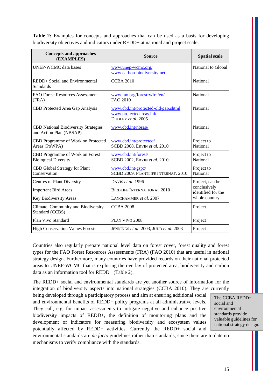**Table 2:** Examples for concepts and approaches that can be used as a basis for developing biodiversity objectives and indicators under REDD+ at national and project scale.

| <b>Concepts and approaches</b><br>(EXAMPLES)                           | <b>Source</b>                                                                        | <b>Spatial scale</b>                                                   |  |
|------------------------------------------------------------------------|--------------------------------------------------------------------------------------|------------------------------------------------------------------------|--|
| <b>UNEP-WCMC</b> data bases                                            | www.unep-wcmc.org/<br>www.carbon-biodiversity.net                                    | National to Global                                                     |  |
| REDD+ Social and Environmental<br><b>Standards</b>                     | <b>CCBA 2010</b>                                                                     | National                                                               |  |
| <b>FAO Forest Resources Assessment</b><br>(FRA)                        | www.fao.org/forestry/fra/en/<br>FAO 2010                                             | National                                                               |  |
| CBD Protected Area Gap Analysis                                        | www.cbd.int/protected-old/gap.shtml<br>www.protectedareas.info<br>DUDLEY et al. 2005 | National                                                               |  |
| <b>CBD National Biodiversity Strategies</b><br>and Action Plan (NBSAP) | www.cbd.int/nbsap/                                                                   | National                                                               |  |
| CBD Programme of Work on Protected<br>Areas (PoWPA)                    | www.cbd.int/protected/<br>SCBD 2008, ERVIN et al. 2010                               | Project to<br>National                                                 |  |
| CBD Programme of Work on Forest<br><b>Biological Diversity</b>         | www.cbd.int/forest/<br>SCBD 2002, ERVIN et al. 2010                                  | Project to<br>National                                                 |  |
| CBD Global Strategy for Plant<br>Conservation                          | www.cbd.int/gspc/<br>SCBD 2009, PLANTLIFE INTERNAT. 2010                             | Project to<br>National                                                 |  |
| <b>Centres of Plant Diversity</b>                                      | DAVIS et al. 1996                                                                    | Project, can be<br>conclusively<br>identified for the<br>whole country |  |
| <b>Important Bird Areas</b>                                            | <b>BIRDLIFE INTERNATIONAL 2010</b>                                                   |                                                                        |  |
| Key Biodiversity Areas                                                 | LANGHAMMER et al. 2007                                                               |                                                                        |  |
| Climate, Community and Biodiversity<br>Standard (CCBS)                 | <b>CCBA 2008</b>                                                                     | Project                                                                |  |
| Plan Vivo Standard                                                     | PLAN VIVO 2008                                                                       | Project                                                                |  |
| <b>High Conservation Values Forests</b>                                | JENNINGS et al. 2003, JUDD et al. 2003                                               | Project                                                                |  |

Countries also regularly prepare national level data on forest cover, forest quality and forest types for the FAO Forest Resources Assessments (FRA) (FAO 2010) that are useful in national strategy design. Furthermore, many countries have provided records on their national protected areas to UNEP-WCMC that is exploring the overlay of protected area, biodiversity and carbon data as an information tool for REDD+ (Table 2).

The REDD+ social and environmental standards are yet another source of information for the integration of biodiversity aspects into national strategies (CCBA 2010). They are currently

being developed through a participatory process and aim at ensuring additional social and environmental benefits of REDD+ policy programs at all administrative levels. They call, e.g. for impact assessments to mitigate negative and enhance positive biodiversity impacts of REDD+, the definition of monitoring plans and the development of indicators for measuring biodiversity and ecosystem values potentially affected by REDD+ activities. Currently the REDD+ social and

environmental standards are *de facto* guidelines rather than standards, since there are to date no mechanisms to verify compliance with the standards.

The CCBA REDD+ social and environmental standards provide valuable guidelines for national strategy design.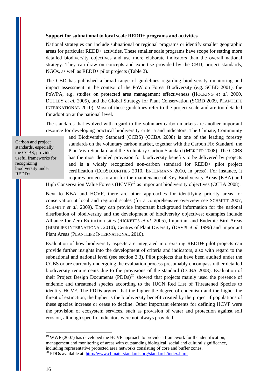#### **Support for subnational to local scale REDD+ programs and activities**

National strategies can include subnational or regional programs or identify smaller geographic areas for particular REDD+ activities. These smaller scale programs have scope for setting more detailed biodiversity objectives and use more elaborate indicators than the overall national strategy. They can draw on concepts and expertise provided by the CBD, project standards, NGOs, as well as REDD+ pilot projects (Table 2).

The CBD has published a broad range of guidelines regarding biodiversity monitoring and impact assessment in the context of the PoW on Forest Biodiversity (e.g. SCBD 2001), the PoWPA, e.g. studies on protected area management effectiveness (HOCKING *et al.* 2000, DUDLEY *et al.* 2005), and the Global Strategy for Plant Conservation (SCBD 2009, PLANTLIFE INTERNATIONAL 2010). Most of these guidelines refer to the project scale and are too detailed for adoption at the national level.

The standards that evolved with regard to the voluntary carbon markets are another important resource for developing practical biodiversity criteria and indicators. The Climate, Community

Carbon and project standards, especially the CCBS, provide useful frameworks for recognizing biodiversity under REDD+.

and Biodiversity Standard (CCBS) (CCBA 2008) is one of the leading forestry standards on the voluntary carbon market, together with the Carbon Fix Standard, the Plan Vivo Standard and the Voluntary Carbon Standard (MERGER 2008). The CCBS has the most detailed provision for biodiversity benefits to be delivered by projects and is a widely recognized non-carbon standard for REDD+ pilot project certification (ECOSECURITIES 2010, ENTENMANN 2010, in press). For instance, it requires projects to aim for the maintenance of Key Biodiversity Areas (KBA) and

High Conservation Value Forests (HCVF)<sup>[19](#page-25-0)</sup> as important biodiversity objectives (CCBA 2008).

Next to KBA and HCVF, there are other approaches for identifying priority areas for conservation at local and regional scales (for a comprehensive overview see SCHMITT 2007, SCHMITT *et al.* 2009). They can provide important background information for the national distribution of biodiversity and the development of biodiversity objectives; examples include Alliance for Zero Extinction sites (RICKETTS *et al.* 2005), Important and Endemic Bird Areas (BIRDLIFE INTERNATIONAL 2010), Centres of Plant Diversity (DAVIS *et al.* 1996) and Important Plant Areas (PLANTLIFE INTERNATIONAL 2010).

Evaluation of how biodiversity aspects are integrated into existing REDD+ pilot projects can provide further insights into the development of criteria and indicators, also with regard to the subnational and national level (see section 3.3). Pilot projects that have been audited under the CCBS or are currently undergoing the evaluation process presumably encompass rather detailed biodiversity requirements due to the provisions of the standard (CCBA 2008). Evaluation of their Project Design Documents  $(PDDs)^{20}$  $(PDDs)^{20}$  $(PDDs)^{20}$  showed that projects mainly used the presence of endemic and threatened species according to the IUCN Red List of Threatened Species to identify HCVF. The PDDs argued that the higher the degree of endemism and the higher the threat of extinction, the higher is the biodiversity benefit created by the project if populations of these species increase or cease to decline. Other important elements for defining HCVF were the provision of ecosystem services, such as provision of water and protection against soil erosion, although specific indicators were not always provided.

 $\overline{a}$ 

<span id="page-25-0"></span><sup>&</sup>lt;sup>19</sup> WWF (2007) has developed the HCVF approach to provide a framework for the identification, management and monitoring of areas with outstanding biological, social and cultural significance, including representative protected area networks consisting of core and buffer zones.

<span id="page-25-1"></span><sup>&</sup>lt;sup>20</sup> PDDs available at: <http://www.climate-standards.org/standards/index.html>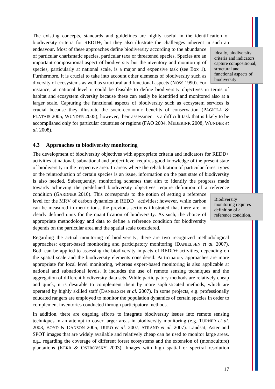The existing concepts, standards and guidelines are highly useful in the identification of biodiversity criteria for REDD+, but they also illustrate the challenges inherent in such an

endeavour. Most of these approaches define biodiversity according to the abundance of particular charismatic species, particular taxa or threatened species. Species are an important compositional aspect of biodiversity but the inventory and monitoring of species, particularly at national scale, is a major and expensive task (see Box 1). Furthermore, it is crucial to take into account other elements of biodiversity such as diversity of ecosystems as well as structural and functional aspects (NOSS 1990). For

instance, at national level it could be feasible to define biodiversity objectives in terms of habitat and ecosystem diversity because these can easily be identified and monitored also at a larger scale. Capturing the functional aspects of biodiversity such as ecosystem services is crucial because they illustrate the socio-economic benefits of conservation (PAGIOLA & PLATAIS 2005, WUNDER 2005); however, their assessment is a difficult task that is likely to be accomplished only for particular countries or regions (FAO 2004, MEIJERINK 2008, WUNDER *et al.* 2008).

#### <span id="page-26-0"></span>**4.3 Approaches to biodiversity monitoring**

The development of biodiversity objectives with appropriate criteria and indicators for REDD+ activities at national, subnational and project level requires good knowledge of the present state of biodiversity in the respective area. In areas where the rehabilitation of particular forest types or the reintroduction of certain species is an issue, information on the past state of biodiversity is also needed. Subsequently, monitoring schemes that aim to identify the progress made towards achieving the predefined biodiversity objectives require definition of a reference

condition (GARDNER 2010). This corresponds to the notion of setting a reference level for the MRV of carbon dynamics in REDD+ activities; however, while carbon can be measured in metric tons, the previous sections illustrated that there are no clearly defined units for the quantification of biodiversity. As such, the choice of appropriate methodology and data to define a reference condition for biodiversity depends on the particular area and the spatial scale considered.

Regarding the actual monitoring of biodiversity, there are two recognized methodological approaches: expert-based monitoring and participatory monitoring (DANIELSEN *et al.* 2007). Both can be applied to assessing the biodiversity impacts of REDD+ activities, depending on the spatial scale and the biodiversity elements considered. Participatory approaches are more appropriate for local level monitoring, whereas expert-based monitoring is also applicable at national and subnational levels. It includes the use of remote sensing techniques and the aggregation of different biodiversity data sets. While participatory methods are relatively cheap and quick, it is desirable to complement them by more sophisticated methods, which are operated by highly skilled staff (DANIELSEN *et al.* 2007). In some projects, e.g. professionally educated rangers are employed to monitor the population dynamics of certain species in order to complement inventories conducted through participatory methods.

In addition, there are ongoing efforts to integrate biodiversity issues into remote sensing techniques in an attempt to cover larger areas in biodiversity monitoring (e.g. TURNER *et al.* 2003, BOYD & DANSON 2005, DURO *et al.* 2007, STRAND *et al.* 2007). Landsat, Aster and SPOT images that are widely available and relatively cheap can be used to monitor large areas, e.g., regarding the coverage of different forest ecosystems and the extension of (monoculture) plantations (KERR & OSTROVSKY 2003). Images with high spatial or spectral resolution

Biodiversity monitoring requires definition of a reference condition.

Ideally, biodiversity criteria and indicators capture compositional, structural and functional aspects of biodiversity.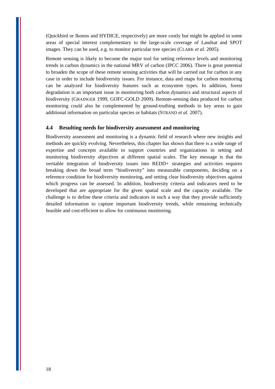(Quickbird or Ikonos and HYDICE, respectively) are more costly but might be applied in some areas of special interest complementary to the large-scale coverage of Landsat and SPOT images. They can be used, e.g. to monitor particular tree species (CLARK *et al.* 2005).

Remote sensing is likely to become the major tool for setting reference levels and monitoring trends in carbon dynamics in the national MRV of carbon (IPCC 2006). There is great potential to broaden the scope of these remote sensing activities that will be carried out for carbon in any case in order to include biodiversity issues. For instance, data and maps for carbon monitoring can be analyzed for biodiversity features such as ecosystem types. In addition, forest degradation is an important issue in monitoring both carbon dynamics and structural aspects of biodiversity (GRAINGER 1999, GOFC-GOLD 2009). Remote-sensing data produced for carbon monitoring could also be complemented by ground-truthing methods in key areas to gain additional information on particular species or habitats (STRAND *et al.* 2007).

#### <span id="page-27-0"></span>**4.4 Resulting needs for biodiversity assessment and monitoring**

Biodiversity assessment and monitoring is a dynamic field of research where new insights and methods are quickly evolving. Nevertheless, this chapter has shown that there is a wide range of expertise and concepts available to support countries and organizations in setting and monitoring biodiversity objectives at different spatial scales. The key message is that the veritable integration of biodiversity issues into REDD+ strategies and activities requires breaking down the broad term "biodiversity" into measurable components, deciding on a reference condition for biodiversity monitoring, and setting clear biodiversity objectives against which progress can be assessed. In addition, biodiversity criteria and indicators need to be developed that are appropriate for the given spatial scale and the capacity available. The challenge is to define these criteria and indicators in such a way that they provide sufficiently detailed information to capture important biodiversity trends, while remaining technically feasible and cost-efficient to allow for continuous monitoring.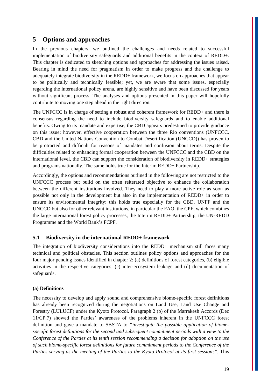# <span id="page-28-0"></span>**5 Options and approaches**

In the previous chapters, we outlined the challenges and needs related to successful implementation of biodiversity safeguards and additional benefits in the context of REDD+. This chapter is dedicated to sketching options and approaches for addressing the issues raised. Bearing in mind the need for pragmatism in order to make progress and the challenge to adequately integrate biodiversity in the REDD+ framework, we focus on approaches that appear to be politically and technically feasible; yet, we are aware that some issues, especially regarding the international policy arena, are highly sensitive and have been discussed for years without significant process. The analyses and options presented in this paper will hopefully contribute to moving one step ahead in the right direction.

The UNFCCC is in charge of setting a robust and coherent framework for REDD+ and there is consensus regarding the need to include biodiversity safeguards and to enable additional benefits. Owing to its mandate and expertise, the CBD appears predestined to provide guidance on this issue; however, effective cooperation between the three Rio conventions (UNFCCC, CBD and the United Nations Convention to Combat Desertification (UNCCD)) has proven to be protracted and difficult for reasons of mandates and confusion about terms. Despite the difficulties related to enhancing formal cooperation between the UNFCCC and the CBD on the international level, the CBD can support the consideration of biodiversity in REDD+ strategies and programs nationally. The same holds true for the Interim REDD+ Partnership.

Accordingly, the options and recommendations outlined in the following are not restricted to the UNFCCC process but build on the often reiterated objective to enhance the collaboration between the different institutions involved. They need to play a more active role as soon as possible not only in the development but also in the implementation of REDD+ in order to ensure its environmental integrity; this holds true especially for the CBD, UNFF and the UNCCD but also for other relevant institutions, in particular the FAO, the CPF, which combines the large international forest policy processes, the Interim REDD+ Partnership, the UN-REDD Programme and the World Bank's FCPF.

# <span id="page-28-1"></span>**5.1 Biodiversity in the international REDD+ framework**

The integration of biodiversity considerations into the REDD+ mechanism still faces many technical and political obstacles. This section outlines policy options and approaches for the four major pending issues identified in chapter 2: (a) definitions of forest categories, (b) eligible activities in the respective categories, (c) inter-ecosystem leakage and (d) documentation of safeguards.

#### **(a) Definitions**

The necessity to develop and apply sound and comprehensive biome-specific forest definitions has already been recognized during the negotiations on Land Use, Land Use Change and Forestry (LULUCF) under the Kyoto Protocol. Paragraph 2 (b) of the Marrakesh Accords (Dec 11/CP.7) showed the Parties' awareness of the problems inherent in the UNFCCC forest definition and gave a mandate to SBSTA to *"investigate the possible application of biomespecific forest definitions for the second and subsequent commitment periods with a view to the Conference of the Parties at its tenth session recommending a decision for adoption on the use of such biome-specific forest definitions for future commitment periods to the Conference of the Parties serving as the meeting of the Parties to the Kyoto Protocol at its first session;".* This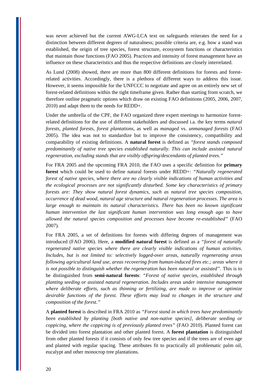was never achieved but the current AWG-LCA text on safeguards reiterates the need for a distinction between different degrees of naturalness; possible criteria are, e.g. how a stand was established, the origin of tree species, forest structure, ecosystem functions or characteristics that maintain those functions (FAO 2005). Practices and intensity of forest management have an influence on these characteristics and thus the respective definitions are closely interrelated.

As Lund (2008) showed, there are more than 800 different definitions for forests and forestrelated activities. Accordingly, there is a plethora of different ways to address this issue. However, it seems impossible for the UNFCCC to negotiate and agree on an entirely new set of forest-related definitions within the tight timeframe given. Rather than starting from scratch, we therefore outline pragmatic options which draw on existing FAO definitions (2005, 2006, 2007, 2010) and adapt them to the needs for REDD+.

Under the umbrella of the CPF, the FAO organized three expert meetings to harmonize forestrelated definitions for the use of different stakeholders and discussed i.a. the key terms *natural forests*, *planted forests*, *forest plantations*, as well as *managed* vs. *unmanaged forests* (FAO 2005). The idea was not to standardize but to improve the consistency, compatibility and comparability of existing definitions. A **natural forest** is defined as *"forest stands composed predominantly of native tree species established naturally. This can include assisted natural regeneration, excluding stands that are visibly offspring/descendants of planted trees."*

For FRA 2005 and the upcoming FRA 2010, the FAO uses a specific definition for **primary forest** which could be used to define natural forests under REDD+: *"Naturally regenerated forest of native species, where there are no clearly visible indications of human activities and the ecological processes are not significantly disturbed. Some key characteristics of primary forests are: They show natural forest dynamics, such as natural tree species composition, occurrence of dead wood, natural age structure and natural regeneration processes. The area is*  large enough to maintain its natural characteristics. There has been no known significant *human intervention the last significant human intervention was long enough ago to have allowed the natural species composition and processes have become re-established"* (FAO 2007)*.*

For FRA 2005, a set of definitions for forests with differing degrees of management was introduced (FAO 2006). Here, a **modified natural forest** is defined as a *"forest of naturally regenerated native species where there are clearly visible indications of human activities. Includes, but is not limited to: selectively logged-over areas, naturally regenerating areas following agricultural land use, areas recovering from human-induced fires etc.; areas where it is not possible to distinguish whether the regeneration has been natural or assisted"*. This is to be distinguished from **semi-natural forests**: *"Forest of native species, established through planting seeding or assisted natural regeneration. Includes areas under intensive management where deliberate efforts, such as thinning or fertilizing, are made to improve or optimize desirable functions of the forest. These efforts may lead to changes in the structure and composition of the forest."* 

A **planted forest** is described in FRA 2010 as *"Forest stand in which trees have predominantly been established by planting [both native and non-native species], deliberate seeding or coppicing, where the coppicing is of previously planted trees"* (FAO 2010). Planted forest can be divided into forest plantation and other planted forest. A **forest plantation** is distinguished from other planted forests if it consists of only few tree species and if the trees are of even age and planted with regular spacing. These attributes fit to practically all problematic palm oil, eucalypt and other monocrop tree plantations.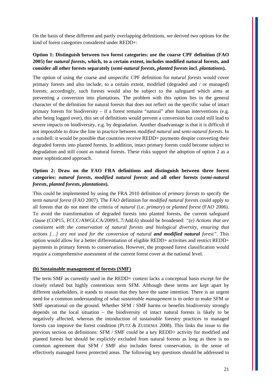On the basis of these different and partly overlapping definitions, we derived two options for the kind of forest categories considered under REDD+:

### **Option 1: Distinguish between two forest categories: use the coarse CPF definition (FAO 2005) for** *natural forests***, which, to a certain extent, includes modified natural forests, and consider all other forests separately (***semi-natural forests***,** *planted forests* **incl.** *plantations***).**

The option of using the coarse and unspecific CPF definition for *natural forests* would cover primary forests and also include, to a certain extent, modified (degraded and / or managed) forests; accordingly, such forests would also be subject to the safeguard which aims at preventing a conversion into plantations. The problem with this option lies in the general character of the definition for natural forests that does not reflect on the specific value of intact primary forests for biodiversity – if a forest remains "natural" after human interventions (e.g. after being logged over), this set of definitions would prevent a conversion but could still lead to severe impacts on biodiversity, e.g. by degradation. Another disadvantage is that it is difficult if not impossible to draw the line in practice between *modified natural* and *semi-natural forests*. In a nutshell: it would be possible that countries receive REDD+ payments despite converting their degraded forests into planted forests. In addition, intact primary forests could become subject to degradation and still count as natural forests. These risks support the adoption of option 2 as a more sophisticated approach.

# **Option 2: Draw on the FAO FRA definitions and distinguish between three forest categories:** *natural forests***,** *modified natural forests* **and all other forests (***semi-natural forests***,** *planted forests***,** *plantations***).**

This could be implemented by using the FRA 2010 definition of *primary forests* to specify the term *natural forest* (FAO 2007). The FAO definition for *modified natural forests* could apply to all forests that do not meet the criteria of *natural* (i.e. *primary*) or *planted forest* (FAO 2006). To avoid the transformation of degraded forests into planted forests, the current safeguard clause (COP15, FCCC/AWGLCA/2009/L.7/Add.6) should be broadened: *"(e) Actions that are consistent with the conservation of natural forests and biological diversity, ensuring that actions […] are not used for the conversion of natural and modified natural forest".* This option would allow for a better differentiation of eligible REDD+ activities and restrict REDD+ payments in primary forests to conservation. However, the proposed forest classification would require a comprehensive assessment of the current forest cover at the national level.

#### **(b) Sustainable management of forests (SMF)**

The term SMF as currently used in the REDD+ context lacks a conceptual basis except for the closely related but highly contentious term SFM. Although these terms are kept apart by different stakeholders, it stands to reason that they have the same intention. There is an urgent need for a common understanding of what *sustainable management* is in order to make SFM or SMF operational on the ground. Whether SFM / SMF harms or benefits biodiversity strongly depends on the local situation – the biodiversity of intact natural forests is likely to be negatively affected, whereas the introduction of sustainable forestry practices in managed forests can improve the forest condition (PUTZ & ZUIDEMA 2008). This links the issue to the previous section on definitions: SFM / SMF could be a key REDD+ activity for modified and planted forests but should be explicitly excluded from natural forests as long as there is no common agreement that SFM / SMF also includes forest conservation, in the sense of effectively managed forest protected areas. The following key questions should be addressed to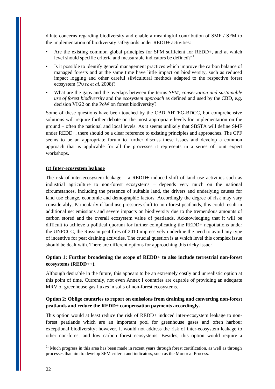dilute concerns regarding biodiversity and enable a meaningful contribution of SMF / SFM to the implementation of biodiversity safeguards under REDD+ activities:

- Are the existing common global principles for SFM sufficient for REDD+, and at which level should specific criteria and measurable indicators be defined?<sup>[21](#page-31-0)</sup>
- Is it possible to identify general management practices which improve the carbon balance of managed forests and at the same time have little impact on biodiversity, such as reduced impact logging and other careful silvicultural methods adapted to the respective forest ecosystem (PUTZ *et al.* 2008)?
- What are the gaps and the overlaps between the terms *SFM*, *conservation and sustainable use of forest biodiversity* and the *ecosystem approach* as defined and used by the CBD, e.g. decision VI/22 on the PoW on forest biodiversity?

Some of these questions have been touched by the CBD AHTEG-BDCC, but comprehensive solutions will require further debate on the most appropriate levels for implementation on the ground – often the national and local levels. As it seems unlikely that SBSTA will define SMF under REDD+, there should be a clear reference to existing principles and approaches. The CPF seems to be an appropriate forum to further discuss these issues and develop a common approach that is applicable for all the processes it represents in a series of joint expert workshops.

#### **(c) Inter-ecosystem leakage**

The risk of inter-ecosystem leakage – a REDD+ induced shift of land use activities such as industrial agriculture to non-forest ecosystems – depends very much on the national circumstances, including the presence of suitable land, the drivers and underlying causes for land use change, economic and demographic factors. Accordingly the degree of risk may vary considerably. Particularly if land use pressures shift to non-forest peatlands, this could result in additional net emissions and severe impacts on biodiversity due to the tremendous amounts of carbon stored and the overall ecosystem value of peatlands. Acknowledging that it will be difficult to achieve a political quorum for further complicating the REDD+ negotiations under the UNFCCC, the Russian peat fires of 2010 impressively underline the need to avoid any type of incentive for peat draining activities. The crucial question is at which level this complex issue should be dealt with. There are different options for approaching this tricky issue:

#### **Option 1: Further broadening the scope of REDD+ to also include terrestrial non-forest ecosystems (REDD++).**

Although desirable in the future, this appears to be an extremely costly and unrealistic option at this point of time. Currently, not even Annex I countries are capable of providing an adequate MRV of greenhouse gas fluxes in soils of non-forest ecosystems.

#### **Option 2: Oblige countries to report on emissions from draining and converting non-forest peatlands and reduce the REDD+ compensation payments accordingly.**

This option would at least reduce the risk of REDD+ induced inter-ecosystem leakage to nonforest peatlands which are an important pool for greenhouse gases and often harbour exceptional biodiversity; however, it would not address the risk of inter-ecosystem leakage to other non-forest and low carbon forest ecosystems. Besides, this option would require a

 $\overline{a}$ 

<span id="page-31-0"></span> $21$  Much progress in this area has been made in recent years through forest certification, as well as through processes that aim to develop SFM criteria and indicators, such as the Montreal Process.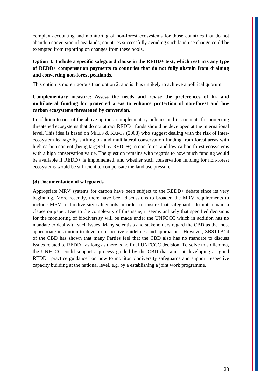complex accounting and monitoring of non-forest ecosystems for those countries that do not abandon conversion of peatlands; countries successfully avoiding such land use change could be exempted from reporting on changes from these pools.

# **Option 3: Include a specific safeguard clause in the REDD+ text, which restricts any type of REDD+ compensation payments to countries that do not fully abstain from draining and converting non-forest peatlands.**

This option is more rigorous than option 2, and is thus unlikely to achieve a political quorum.

# **Complementary measure: Assess the needs and revise the preferences of bi- and multilateral funding for protected areas to enhance protection of non-forest and low carbon ecosystems threatened by conversion.**

In addition to one of the above options, complementary policies and instruments for protecting threatened ecosystems that do not attract REDD+ funds should be developed at the international level. This idea is based on MILES & KAPOS (2008) who suggest dealing with the risk of interecosystem leakage by shifting bi- and multilateral conservation funding from forest areas with high carbon content (being targeted by REDD+) to non-forest and low carbon forest ecosystems with a high conservation value. The question remains with regards to how much funding would be available if REDD+ is implemented, and whether such conservation funding for non-forest ecosystems would be sufficient to compensate the land use pressure.

#### **(d) Documentation of safeguards**

Appropriate MRV systems for carbon have been subject to the REDD+ debate since its very beginning. More recently, there have been discussions to broaden the MRV requirements to include MRV of biodiversity safeguards in order to ensure that safeguards do not remain a clause on paper. Due to the complexity of this issue, it seems unlikely that specified decisions for the monitoring of biodiversity will be made under the UNFCCC which in addition has no mandate to deal with such issues. Many scientists and stakeholders regard the CBD as the most appropriate institution to develop respective guidelines and approaches. However, SBSTTA14 of the CBD has shown that many Parties feel that the CBD also has no mandate to discuss issues related to REDD+ as long as there is no final UNFCCC decision. To solve this dilemma, the UNFCCC could support a process guided by the CBD that aims at developing a "good REDD+ practice guidance" on how to monitor biodiversity safeguards and support respective capacity building at the national level, e.g. by a establishing a joint work programme.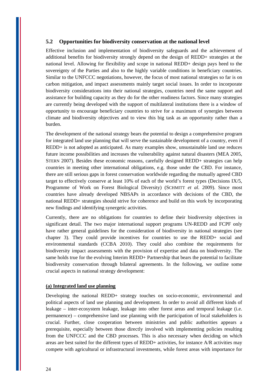#### **5.2 Opportunities for biodiversity conservation at the national level**

Effective inclusion and implementation of biodiversity safeguards and the achievement of additional benefits for biodiversity strongly depend on the design of REDD+ strategies at the national level. Allowing for flexibility and scope in national REDD+ design pays heed to the sovereignty of the Parties and also to the highly variable conditions in beneficiary countries. Similar to the UNFCCC negotiations, however, the focus of most national strategies so far is on carbon mitigation, and impact assessments mainly target social issues. In order to incorporate biodiversity considerations into their national strategies, countries need the same support and assistance for building capacity as they do for the other readiness factors. Since many strategies are currently being developed with the support of multilateral institutions there is a window of opportunity to encourage beneficiary countries to strive for a maximum of synergies between climate and biodiversity objectives and to view this big task as an opportunity rather than a burden.

The development of the national strategy bears the potential to design a comprehensive program for integrated land use planning that will serve the sustainable development of a country, even if REDD+ is not adopted as anticipated. As many examples show, unsustainable land use reduces future income possibilities and increases the vulnerability against natural disasters (MEA 2005, STERN 2007). Besides these economic reasons, carefully designed REDD+ strategies can help countries in meeting other international obligations, e.g. those under the CBD. For instance, there are still serious gaps in forest conservation worldwide regarding the mutually agreed CBD target to effectively conserve at least 10% of each of the world's forest types (Decisions IX/5, Programme of Work on Forest Biological Diversity) (SCHMITT *et al.* 2009). Since most countries have already developed NBSAPs in accordance with decisions of the CBD, the national REDD+ strategies should strive for coherence and build on this work by incorporating new findings and identifying synergetic activities.

Currently, there are no obligations for countries to define their biodiversity objectives in significant detail. The two major international support programs UN-REDD and FCPF only have rather general guidelines for the consideration of biodiversity in national strategies (see chapter 3). They could provide incentives for countries to use the REDD+ social and environmental standards (CCBA 2010). They could also combine the requirements for biodiversity impact assessments with the provision of expertise and data on biodiversity. The same holds true for the evolving Interim REDD+ Partnership that bears the potential to facilitate biodiversity conservation through bilateral agreements. In the following, we outline some crucial aspects in national strategy development:

#### <span id="page-33-0"></span>**(a) Integrated land use planning**

Developing the national REDD+ strategy touches on socio-economic, environmental and political aspects of land use planning and development. In order to avoid all different kinds of leakage – inter-ecosystem leakage, leakage into other forest areas and temporal leakage (i.e. permanence) – comprehensive land use planning with the participation of local stakeholders is crucial. Further, close cooperation between ministries and public authorities appears a prerequisite, especially between those directly involved with implementing policies resulting from the UNFCCC and the CBD processes. This is also necessary when deciding on which areas are best suited for the different types of REDD+ activities, for instance A/R activities may compete with agricultural or infrastructural investments, while forest areas with importance for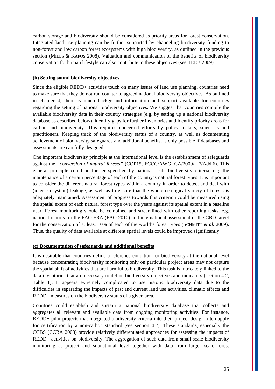carbon storage and biodiversity should be considered as priority areas for forest conservation. Integrated land use planning can be further supported by channeling biodiversity funding to non-forest and low carbon forest ecosystems with high biodiversity, as outlined in the previous section (MILES & KAPOS 2008). Valuation and communication of the benefits of biodiversity conservation for human lifestyle can also contribute to these objectives (see TEEB 2009)

#### **(b) Setting sound biodiversity objectives**

Since the eligible REDD+ activities touch on many issues of land use planning, countries need to make sure that they do not run counter to agreed national biodiversity objectives. As outlined in chapter 4, there is much background information and support available for countries regarding the setting of national biodiversity objectives. We suggest that countries compile the available biodiversity data in their country strategies (e.g. by setting up a national biodiversity database as described below), identify gaps for further inventories and identify priority areas for carbon and biodiversity. This requires concerted efforts by policy makers, scientists and practitioners. Keeping track of the biodiversity status of a country, as well as documenting achievement of biodiversity safeguards and additional benefits, is only possible if databases and assessments are carefully designed.

One important biodiversity principle at the international level is the establishment of safeguards against the *"conversion of natural forests"* (COP15, FCCC/AWGLCA/2009/L.7/Add.6). This general principle could be further specified by national scale biodiversity criteria, e.g. the maintenance of a certain percentage of each of the country's natural forest types. It is important to consider the different natural forest types within a country in order to detect and deal with (inter-ecosystem) leakage, as well as to ensure that the whole ecological variety of forests is adequately maintained. Assessment of progress towards this criterion could be measured using the spatial extent of each natural forest type over the years against its spatial extent in a baseline year. Forest monitoring should be combined and streamlined with other reporting tasks, e.g. national reports for the FAO FRA (FAO 2010) and international assessment of the CBD target for the conservation of at least 10% of each of the world's forest types (SCHMITT *et al.* 2009). Thus, the quality of data available at different spatial levels could be improved significantly.

#### **(c) Documentation of safeguards and additional benefits**

It is desirable that countries define a reference condition for biodiversity at the national level because concentrating biodiversity monitoring only on particular project areas may not capture the spatial shift of activities that are harmful to biodiversity. This task is intricately linked to the data inventories that are necessary to define biodiversity objectives and indicators (section 4.2, Table 1). It appears extremely complicated to use historic biodiversity data due to the difficulties in separating the impacts of past and current land use activities, climatic effects and REDD+ measures on the biodiversity status of a given area.

Countries could establish and sustain a national biodiversity database that collects and aggregates all relevant and available data from ongoing monitoring activities. For instance, REDD+ pilot projects that integrated biodiversity criteria into their project design often apply for certification by a non-carbon standard (see section 4.2). These standards, especially the CCBS (CCBA 2008) provide relatively differentiated approaches for assessing the impacts of REDD+ activities on biodiversity. The aggregation of such data from small scale biodiversity monitoring at project and subnational level together with data from larger scale forest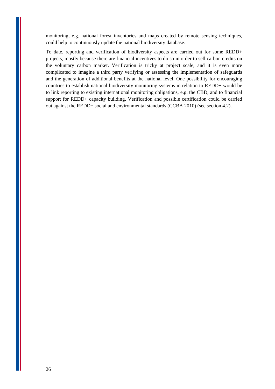monitoring, e.g. national forest inventories and maps created by remote sensing techniques, could help to continuously update the national biodiversity database.

To date, reporting and verification of biodiversity aspects are carried out for some REDD+ projects, mostly because there are financial incentives to do so in order to sell carbon credits on the voluntary carbon market. Verification is tricky at project scale, and it is even more complicated to imagine a third party verifying or assessing the implementation of safeguards and the generation of additional benefits at the national level. One possibility for encouraging countries to establish national biodiversity monitoring systems in relation to REDD+ would be to link reporting to existing international monitoring obligations, e.g. the CBD, and to financial support for REDD+ capacity building. Verification and possible certification could be carried out against the REDD+ social and environmental standards (CCBA 2010) (see section 4.2).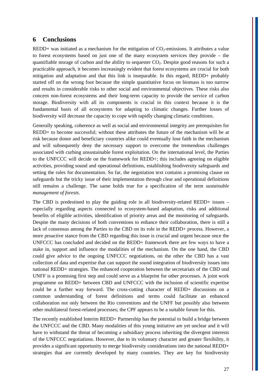# **6 Conclusions**

REDD+ was initiated as a mechanism for the mitigation of  $CO<sub>2</sub>$ -emissions. It attributes a value to forest ecosystems based on just one of the many ecosystem services they provide – the quantifiable storage of carbon and the ability to sequester  $CO<sub>2</sub>$ . Despite good reasons for such a practicable approach, it becomes increasingly evident that forest ecosystems are crucial for both mitigation and adaptation and that this link is inseparable. In this regard, REDD+ probably started off on the wrong foot because the simple quantitative focus on biomass is too narrow and results in considerable risks to other social and environmental objectives. These risks also concern non-forest ecosystems and their long-term capacity to provide the service of carbon storage. Biodiversity with all its components is crucial in this context because it is the fundamental basis of all ecosystems for adapting to climatic changes. Further losses of biodiversity will decrease the capacity to cope with rapidly changing climatic conditions.

<span id="page-36-0"></span>Generally speaking, coherence as well as social and environmental integrity are prerequisites for REDD+ to become successful; without these attributes the future of the mechanism will be at risk because donor and beneficiary countries alike could eventually lose faith in the mechanism and will subsequently deny the necessary support to overcome the tremendous challenges associated with curbing unsustainable forest exploitation. On the international level, the Parties to the UNFCCC will decide on the framework for REDD+; this includes agreeing on eligible activities, providing sound and operational definitions, establishing biodiversity safeguards and setting the rules for documentation. So far, the negotiation text contains a promising clause on safeguards but the tricky issue of their implementation through clear and operational definitions still remains a challenge. The same holds true for a specification of the term *sustainable management of forests*.

The CBD is predestined to play the guiding role in all biodiversity-related REDD+ issues – especially regarding aspects connected to ecosystem-based adaptation, risks and additional benefits of eligible activities, identification of priority areas and the monitoring of safeguards. Despite the many decisions of both conventions to enhance their collaboration, there is still a lack of consensus among the Parties to the CBD on its role in the REDD+ process. However, a more proactive stance from the CBD regarding this issue is crucial and urgent because once the UNFCCC has concluded and decided on the REDD+ framework there are few ways to have a stake in, support and influence the modalities of the mechanism. On the one hand, the CBD could give advice to the ongoing UNFCCC negotiations, on the other the CBD has a vast collection of data and expertise that can support the sound integration of biodiversity issues into national REDD+ strategies. The enhanced cooperation between the secretariats of the CBD und UNFF is a promising first step and could serve as a blueprint for other processes. A joint work programme on REDD+ between CBD and UNFCCC with the inclusion of scientific expertise could be a further way forward. The cross-cutting character of REDD+ discussions on a common understanding of forest definitions and terms could facilitate an enhanced collaboration not only between the Rio conventions and the UNFF but possibly also between other multilateral forest-related processes; the CPF appears to be a suitable forum for this.

The recently established Interim REDD+ Partnership has the potential to build a bridge between the UNFCCC and the CBD. Many modalities of this young initiative are yet unclear and it will have to withstand the threat of becoming a subsidiary process inheriting the divergent interests of the UNFCCC negotiations. However, due to its voluntary character and greater flexibility, it provides a significant opportunity to merge biodiversity considerations into the national REDD+ strategies that are currently developed by many countries. They are key for biodiversity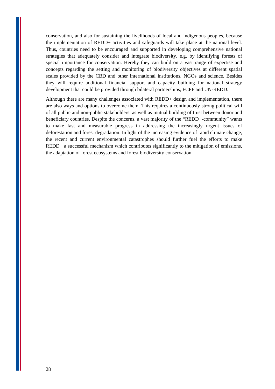conservation, and also for sustaining the livelihoods of local and indigenous peoples, because the implementation of REDD+ activities and safeguards will take place at the national level. Thus, countries need to be encouraged and supported in developing comprehensive national strategies that adequately consider and integrate biodiversity, e.g. by identifying forests of special importance for conservation. Hereby they can build on a vast range of expertise and concepts regarding the setting and monitoring of biodiversity objectives at different spatial scales provided by the CBD and other international institutions, NGOs and science. Besides they will require additional financial support and capacity building for national strategy development that could be provided through bilateral partnerships, FCPF and UN-REDD.

Although there are many challenges associated with REDD+ design and implementation, there are also ways and options to overcome them. This requires a continuously strong political will of all public and non-public stakeholders, as well as mutual building of trust between donor and beneficiary countries. Despite the concerns, a vast majority of the "REDD+-community" wants to make fast and measurable progress in addressing the increasingly urgent issues of deforestation and forest degradation. In light of the increasing evidence of rapid climate change, the recent and current environmental catastrophes should further fuel the efforts to make REDD+ a successful mechanism which contributes significantly to the mitigation of emissions, the adaptation of forest ecosystems and forest biodiversity conservation.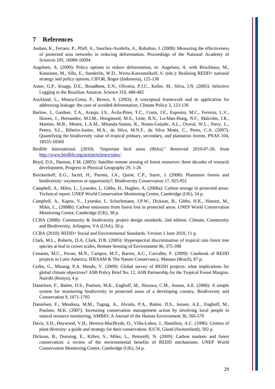#### <span id="page-38-0"></span>**7 References**

- Andam, K., Ferraro, P., Pfaff, A., Sanchez-Azofeifa, A., Robalino, J. (2008): Measuring the effectiveness of protected area networks in reducing deforestation, Proceedings of the National Academy of Sciences 105, 16089-16094
- Angelsen, A. (2009): Policy options to reduce deforestation, in: Angelsen, A. with Brockhaus, M., Kanninen, M., Sills, E., Sunderlin, W.D., Wertz-Kanounnikoff, S. (eds.): Realising REDD+ national strategy and policy options, CIFOR, Bogor (Indonesia), 125-138
- Asner, G.P., Knapp, D.E., Broadbent, E.N., Oliveira, P.J.C., Keller, M., Silva, J.N. (2005): Selective Logging in the Brazilian Amazon. Science 310, 480-482
- Auckland, L., Moura-Costa, P., Brown, S. (2003): A conceptual framework and its application for addressing leakage: the case of avoided deforestation, Climate Policy 3, 123-136
- Barlow, J., Gardner, T.A., Araujo, I.S., Ávila-Pires, T.C., Costa, J.E., Esposito, M.C., Ferreira, L.V., Hawes, J., Hernandez, M.I.M., Hoogmoed, M.S., Leite, R.N., Lo-Man-Hung, N.F., Malcolm, J.R., Martins, M.B., Mestre, L.A.M., Miranda-Santos, R., Nunes-Gutjahr, A.L., Overal, W.L., Parry, L., Peters, S.L., Ribeiro-Junior, M.A., da Silva, M.N.F., da Silva Motta, C., Peres, C.A. (2007): Quantifying the biodiversity value of tropical primary, secondary, and plantation forests, PNAS 104, 18555-18560
- Birdlife International. (2010). "Important bird areas (IBAs)." Retrieved 2010-07-20, from <http://www.birdlife.org/action/science/sites/>.
- Boyd, D.S., Danson, F.M. (2005): Satellite remote sensing of forest resources: three decades of research development, Progress in Physical Geography 29, 1-26
- Brockerhoff, E.G., Jactel, H., Parotta, J.A., Quine, C.P., Sayer, J. (2008): Plantation forests and biodiversity: oxymoron or opportunity?, Biodiversity Conservation 17, 925-951
- Campbell, A., Miles, L., Lysenko, I., Gibbs, H., Hughes, A. (2008a): Carbon storage in protected areas: Technical report. UNEP World Conservation Monitoring Centre, Cambridge (UK), 54 p.
- Campbell, A., Kapos, V., Lysenko, I., Scharlemann, J.P.W., Dickson, B., Gibbs, H.K., Hansen, M., Miles, L., (2008b): Carbon emissions from forest loss in protected areas. UNEP World Conservation Monitoring Centre, Cambridge (UK), 38 p.
- CCBA (2008): Community & biodiversity project design standards, 2nd edition. Climate, Community and Biodiversity, Arlington, VA (USA), 50 p.
- CCBA (2010): REDD+ Social and Environmental Standards. Version 1 June 2010, 11 p.
- Clark, M.L., Roberts, D.A. Clark, D.B. (2005): Hyperspectral discrimination of tropical rain forest tree species at leaf to crown scales, Remote Sensing of Environment 96, 375-398
- Cenamo, M.C., Pavan, M.N., Campos, M.T., Barros, A.C., Carvalho, F. (2009): Casebook of REDD projects in Latin America. IDESAM & The Nature Conservancy, Manaus (Brazil), 87 p.
- Cerbu, G., Minang, P.A. Meadu, V. (2009): Global survey of REDD projects: what implications for global climate objectives? ASB Policy Brief No. 12, ASB Partnership for the Tropical Forest Margins. Nairobi (Kenya), 4 p.
- Danielsen, F., Balete, D.S., Poulsen, M.K., Enghoff, M., Nozawa, C.M., Jensen, A.E. (2000): A simple system for monitoring biodiversity in protected areas of a developing country, Biodiversity and Conservation 9, 1671-1705
- Danielsen, F., Mendoza, M.M., Tagtag, A., Alviola, P.A., Balete, D.S., Jensen, A.E., Enghoff, M., Poulsen, M.K. (2007): Increasing conservation management action by involving local people in natural resource monitoring, AMBIO: A Journal of the Human Environment 36, 566-570
- Davis, S.D., Heywood, V.H., Herrera-MacBryde, O., Villa-Lobos, J., Hamilton, A.C. (1996): Centres of plant diversity: a guide and strategy for their conservation. IUCN, Gland (Switzerland), 592 p.
- Dickson, B., Dunning, E., Killen, S., Miles, L., Pettorelli, N. (2009): Carbon markets and forest conservation: a review of the environmental benefits of REDD mechanisms. UNEP World Conservation Monitoring Centre, Cambridge (UK), 54 p.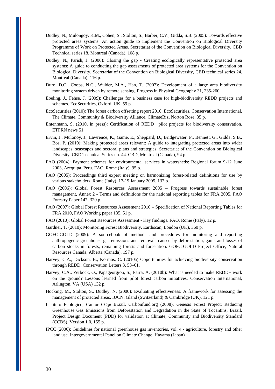- Dudley, N., Mulongoy, K.M., Cohen, S., Stolton, S., Barber, C.V., Gidda, S.B. (2005): Towards effective protected areas systems. An action guide to implement the Convention on Biological Diversity Programme of Work on Protected Areas. Secretariat of the Convention on Biological Diversity. CBD Technical series 18, Montreal (Canada), 108 p.
- Dudley, N., Parish, J. (2006): Closing the gap Creating ecologically representative protected area systems: A guide to conducting the gap assessments of protected area systems for the Convention on Biological Diversity. Secretariat of the Convention on Biological Diversity, CBD technical series 24, Montreal (Canada), 116 p.
- Duro, D.C., Coops, N.C., Wulder, M.A., Han, T. (2007): Development of a large area biodiversity monitoring system driven by remote sensing, Progress in Physical Geography 31, 235-260
- Ebeling, J., Fehse, J. (2009): Challenges for a business case for high-biodiversity REDD projects and schemes. EcoSecurities, Oxford, UK. 59 p.
- EcoSecurities (2010): The forest carbon offsetting report 2010. EcoSecurities, Conservation International, The Climate, Community & Biodiversity Alliance, ClimateBiz, Norton Rose, 35 p.
- Entenmann, S. (2010, in press): Certification of REDD+ pilot projects for biodiversity conservation. ETFRN news 51.
- Ervin, J., Mulonoy, J., Lawrence, K., Game, E., Sheppard, D., Bridgewater, P., Bennett, G., Gidda, S.B., Bos, P. (2010): Making protected areas relevant: A guide to integrating protected areas into wider landscapes, seascapes and sectoral plans and strategies. Secretariat of the Convention on Biological Diversity. CBD Technical Series no. 44. CBD, Montreal (Canada), 94 p.
- FAO (2004): Payment schemes for environmental services in watersheds: Regional forum 9-12 June 2003, Arequipa, Peru. FAO, Rome (Italy), 95 p.
- FAO (2005): Proceedings third expert meeting on harmonizing forest-related definitions for use by various stakeholders, Rome (Italy), 17-19 January 2005, 137 p.
- FAO (2006): Global Forest Resources Assessment 2005 Progress towards sustainable forest management, Annex 2 - Terms and definitions for the national reporting tables for FRA 2005, FAO Forestry Paper 147, 320 p.
- FAO (2007): Global Forest Resources Assessment 2010 Specification of National Reporting Tables for FRA 2010, FAO Working paper 135, 51 p.
- FAO (2010): Global Forest Resources Assessment Key findings. FAO, Rome (Italy), 12 p.
- Gardner, T. (2010): Monitoring Forest Biodiversity. Earthscan, London (UK), 360 p.
- GOFC-GOLD (2009): A sourcebook of methods and procedures for monitoring and reporting anthropogenic greenhouse gas emissions and removals caused by deforestation, gains and losses of carbon stocks in forests, remaining forests and forestation. GOFC-GOLD Project Office, Natural Resources Canada, Alberta (Canada), 197 p.
- Harvey, C.A., Dickson, B., Kormos, C. (2010a) Opportunities for achieving biodiversity conservation through REDD, Conservation Letters 3, 53–61.
- Harvey, C.A., Zerbock, O., Papageorgiou, S., Parra, A. (2010b): What is needed to make REDD+ work on the ground? Lessons learned from pilot forest carbon initiatives. Conservation International, Arlington, VA (USA) 132 p.
- Hocking, M., Stolton, S., Dudley, N. (2000): Evaluating effectiveness: A framework for assessing the management of protected areas. IUCN, Gland (Switzerland) & Cambridge (UK), 121 p.
- Instituto Ecológico, Cantor CO<sub>2</sub>e Brazil, Carbonfund.org (2008): Genesis Forest Project: Reducing Greenhouse Gas Emissions from Deforestation and Degradation in the State of Tocantins, Brazil. Project Design Document (PDD) for validation at Climate, Community and Biodiversity Standard (CCBS). Version 1.0, 155 p.
- IPCC (2006): Guidelines for national greenhouse gas inventories, vol. 4 agriculture, forestry and other land use. Intergovernmental Panel on Climate Change, Hayama (Japan)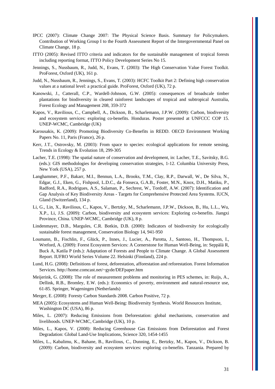- IPCC (2007): Climate Change 2007: The Physical Science Basis. Summary for Policymakers. Contribution of Working Group I to the Fourth Assessment Report of the Intergovernmental Panel on Climate Change, 18 p.
- ITTO (2005): Revised ITTO criteria and indicators for the sustainable management of tropical forests including reporting format, ITTO Policy Development Series No 15.
- Jennings, S., Nussbaum, R., Judd, N., Evans, T. (2003): The High Conservation Value Forest Toolkit. ProForest, Oxford (UK), 161 p.
- Judd, N., Nussbaum, R., Jennings, S., Evans, T. (2003): HCFC Toolkit Part 2: Defining high conservation values at a national level: a practical guide. ProForest, Oxford (UK), 72 p.
- Kanowski, J., Catterall, C.P., Wardell-Johnson, G.W. (2005): consequences of broadscale timber plantations for biodiversity in cleared rainforest landscapes of tropical and subtropical Australia, Forest Ecology and Management 208, 359-372
- Kapos, V., Ravilious, C., Campbell, A., Dickson, B., Scharlemann, J.P.W. (2009): Carbon, biodiversity and ecosystem services: exploring co-benefits. Honduras. Poster presented at UNFCCC COP 15. UNEP-WCMC, Cambridge (UK)
- Karousakis, K. (2009): Promoting Biodiversity Co-Benefits in REDD. OECD Environment Working Papers No. 11, Paris (France), 26 p.
- Kerr, J.T., Ostrovsky, M. (2003): From space to species: ecological applications for remote sensing, Trends in Ecology & Evolution 18, 299-305
- Lacher, T.E. (1998): The spatial nature of conservation and development, in: Lacher, T.E., Savitsky, B.G. (eds.): GIS methodologies for developing conservation strategies, 1-12. Columbia University Press, New York (USA), 257 p.
- Langhammer, P.F., Bakarr, M.I., Bennun, L.A., Brooks, T.M., Clay, R.P., Darwall, W., De Silva, N., Edgar, G.J., Eken, G., Fishpool, L.D.C., da Fonseca, G.A.B., Foster, M.N., Knox, D.H., Matiku, P., Radford, R.A., Rodrigues, A.S., Salaman, P., Sechrest, W., Tordoff, A.W. (2007): Identification and Gap Analysis of Key Biodiversity Areas - Targets for Comprehensive Protected Area Systems. IUCN, Gland (Switzerland), 134 p.
- Li, G., Lin, X., Ravilious, C., Kapos, V., Bertzky, M., Scharlemann, J.P.W., Dickson, B., Hu, L.L., Wu, X.P., Li, J.S. (2009): Carbon, biodiversity and ecosystem services: Exploring co-benefits. Jiangxi Province, China. UNEP-WCMC, Cambridge (UK), 8 p.
- Lindenmayer, D.B., Margules, C.R. Botkin, D.B. (2000): Indicators of biodiversity for ecologically sustainable forest management, Conservation Biology 14, 941-950
- Loumann, B., Fischlin, F., Glück, P., Innes, J., Lucier, A., Parotta, J., Santoso, H., Thompson, I., Wreford, A. (2009): Forest Ecosystem Services: A Cornerstone for Human Well-Being, in: Seppälä R, Buck A, Katila P (eds.): Adaptation of Forests and People to Climate Change. A Global Assessment Report. IUFRO World Series Volume 22. Helsinki (Finnland), 224 p.
- Lund, H.G. (2008): Definitions of forest, deforestation, afforestation and reforestation. Forest Information Services. http://home.comcast.net/~gyde/DEFpaper.htm
- Meijerink, G. (2008): The role of measurement problems and monitoring in PES schemes, in: Ruijs, A., Dellink, R.B., Bromley, E.W. (eds.): Economics of poverty, environment and natural-resource use, 61-85. Springer, Wageningen (Netherlands)
- Merger, E. (2008): Foresty Carbon Standards 2008. Carbon Positive, 72 p.
- MEA (2005): Ecosystems and Human Well-Being: Biodiversity Synthesis. World Resources Institute, Washington DC (USA), 86 p.
- Miles, L. (2007): Reducing Emissions from Deforestation: global mechanisms, conservation and livelihoods. UNEP-WCMC, Cambridge (UK), 10 p.
- Miles, L., Kapos, V. (2008): Reducing Greenhouse Gas Emissions from Deforestation and Forest Degradation: Global Land-Use Implications, Science 320, 1454-1455
- Miles, L., Kabalimu, K., Bahane, B., Ravilious, C., Dunning, E., Bertzky, M., Kapos, V., Dickson, B. (2009): Carbon, biodiversity and ecosystem services: exploring co-benefits. Tanzania. Prepared by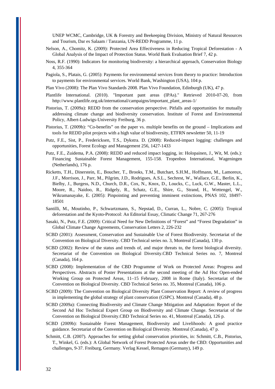UNEP WCMC, Cambridge, UK & Forestry and Beekeeping Division, Ministry of Natural Resources and Tourism, Dar es Salaam / Tanzania, UN-REDD Programme, 11 p.

- Nelson, A., Chomitz, K. (2009): Protected Area Effectiveness in Reducing Tropical Deforestation A Global Analysis of the Impact of Protection Status. World Bank Evaluation Brief 7, 42 p.
- Noss, R.F. (1990): Indicators for monitoring biodiversity: a hierarchical approach, Conservation Biology 4, 355-364
- Pagiola, S., Platais, G. (2005): Payments for environmental services from theory to practice: Introduction to payments for environmental services. World Bank, Washington (USA), 104 p.
- Plan Vivo (2008): The Plan Vivo Standards 2008. Plan Vivo Foundation, Edinburgh (UK), 47 p.
- Plantlife International. (2010). "Important pant areas (IPAs)." Retrieved 2010-07-20, from http://www.plantlife.org.uk/international/campaigns/important\_plant\_areas-1/
- Pistorius, T. (2009a): REDD from the conservation perspective. Pitfalls and opportunities for mutually addressing climate change and biodiversity conservation. Institute of Forest and Environmental Policy, Albert-Ludwigs-University Freiburg, 36 p.
- Pistorius, T. (2009b): "Co-benefits" on the paper vs. multiple benefits on the ground Implications and tools for REDD pilot projects with a high value of biodiversity, ETFRN newsletter 50, 11-19
- Putz, F.E., Sist, P., Fredericksen, T.S., Dykstra. D. (2008): Reduced-impact logging: challenges and opportunities, Forest Ecology and Management 256, 1427-1433
- Putz, F.E., Zuidema, P.A. (2008): REDD and reduced impact logging, in: Holopainen, J., Wit, M. (eds.): Financing Sustainable Forest Management, 155-158. Tropenbos International, Wageningen (Netherlands), 176 p.
- Ricketts, T.H., Dinerstein, E., Boucher, T., Brooks, T.M., Butchart, S.H.M., Hoffmann, M., Lamoreux, J.F., Morrison, J., Parr, M., Pilgrim, J.D., Rodrigues, A.S.L., Sechrest, W., Wallace, G.E., Berlin, K., Bielby, J., Burgess, N.D., Church, D.R., Cox, N., Knox, D., Loucks, C., Luck, G.W., Master, L.L., Moore, R., Naidoo, R., Ridgely, R., Schatz, G.E., Shire, G., Strand, H., Wettengel, W., Wikramanayake, E. (2005): Pinpointing and preventing imminent extinctions, PNAS 102, 18497- 18501
- Santilli, M., Moutinho, P., Schwartzmann, S., Nepstad, D., Curran, L., Nobre, C. (2005): Tropical deforestation and the Kyoto-Protocol: An Editorial Essay, Climatic Change 71, 267-276
- Sasaki, N., Putz, F.E. (2009): Critical Need for New Definitions of "Forest" and "Forest Degradation" in Global Climate Change Agreements, Conservation Letters 2, 226-232
- SCBD (2001): Assessment, Conservation and Sustainable Use of Forest Biodiversity. Secretariat of the Convention on Biological Diversity. CBD Technical series no. 3, Montreal (Canada), 130 p.
- SCBD (2002): Review of the status and trends of, and major threats to, the forest biological diversity. Secretariat of the Convention on Biological Diversity.CBD Technical Series no. 7, Montreal (Canada), 164 p.
- SCBD (2008): Implementation of the CBD Programme of Work on Protected Areas: Progress and Perspectives. Abstracts of Poster Presentations at the second meeting of the Ad Hoc Open-ended Working Group on Protected Areas, 11–15 February, 2008 in Rome (Italy). Secretariat of the Convention on Biological Diversity. CBD Technical Series no. 35, Montreal (Canada), 106 p.
- SCBD (2009): The Convention on Biological Diversity Plant Conservation Report: A review of progress in implementing the global strategy of plant conservation (GSPC). Montreal (Canada), 48 p.
- SCBD (2009a): Connecting Biodiversity and Climate Change Mitigation and Adaptation: Report of the Second Ad Hoc Technical Expert Group on Biodiversity and Climate Change. Secretariat of the Convention on Biological Diversity.CBD Technical Series no. 41, Montreal (Canada), 126 p.
- SCBD (2009b): Sustainable Forest Management, Biodiversity and Livelihoods: A good practice guidance. Secretariat of the Convention on Biological Diversity. Montreal (Canada), 47 p.
- Schmitt, C.B. (2007). Approaches for setting global conservation priorities, in: Schmitt, C.B., Pistorius, T., Winkel, G. (eds.): A Global Network of Forest Protected Areas under the CBD: Opportunities and challenges, 9-37. Freiburg, Germany. Verlag Kessel, Remagen (Germany), 149 p.